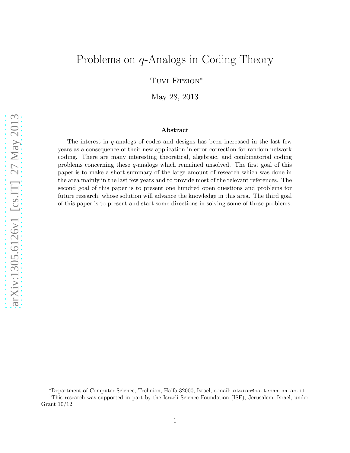# Problems on q-Analogs in Coding Theory

Tuvi Etzion<sup>\*</sup>

May 28, 2013

#### Abstract

The interest in  $q$ -analogs of codes and designs has been increased in the last few years as a consequence of their new application in error-correction for random network coding. There are many interesting theoretical, algebraic, and combinatorial coding problems concerning these q-analogs which remained unsolved. The first goal of this paper is to make a short summary of the large amount of research which was done in the area mainly in the last few years and to provide most of the relevant references. The second goal of this paper is to present one hundred open questions and problems for future research, whose solution will advance the knowledge in this area. The third goal of this paper is to present and start some directions in solving some of these problems.

<sup>∗</sup>Department of Computer Science, Technion, Haifa 32000, Israel, e-mail: etzion@cs.technion.ac.il.

<sup>1</sup>This research was supported in part by the Israeli Science Foundation (ISF), Jerusalem, Israel, under Grant 10/12.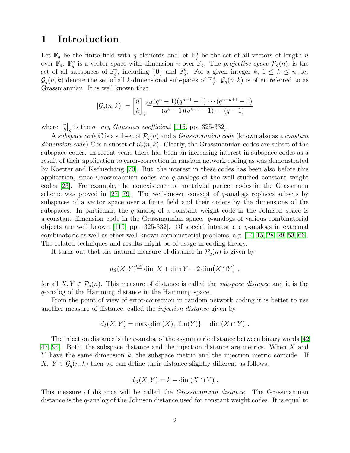## 1 Introduction

Let  $\mathbb{F}_q$  be the finite field with q elements and let  $\mathbb{F}_q^n$  be the set of all vectors of length n over  $\mathbb{F}_q$ .  $\mathbb{F}_q^n$  is a vector space with dimension n over  $\mathbb{F}_q$ . The projective space  $\mathcal{P}_q(n)$ , is the set of all subspaces of  $\mathbb{F}_q^n$ , including  $\{0\}$  and  $\mathbb{F}_q^n$ . For a given integer k,  $1 \leq k \leq n$ , let  $\mathcal{G}_q(n,k)$  denote the set of all k-dimensional subspaces of  $\mathbb{F}_q^n$ .  $\mathcal{G}_q(n,k)$  is often referred to as Grassmannian. It is well known that

$$
|\mathcal{G}_q(n,k)| = {n \brack k}_{q} \frac{\text{def}}{q} \frac{(q^n - 1)(q^{n-1} - 1) \cdots (q^{n-k+1} - 1)}{(q^k - 1)(q^{k-1} - 1) \cdots (q - 1)}
$$

where  $\begin{bmatrix} n \\ k \end{bmatrix}$  $\binom{n}{k}_q$  is the  $q$ -ary *Gaussian coefficient* [\[115,](#page-36-0) pp. 325-332].

A subspace code C is a subset of  $\mathcal{P}_q(n)$  and a *Grassmannian code* (known also as a *constant* dimension code) C is a subset of  $\mathcal{G}_q(n, k)$ . Clearly, the Grassmannian codes are subset of the subspace codes. In recent years there has been an increasing interest in subspace codes as a result of their application to error-correction in random network coding as was demonstrated by Koetter and Kschischang [\[70\]](#page-33-0). But, the interest in these codes has been also before this application, since Grassmannian codes are  $q$ -analogs of the well studied constant weight codes [\[23\]](#page-30-0). For example, the nonexistence of nontrivial perfect codes in the Grassmann scheme was proved in [\[27,](#page-31-0) [79\]](#page-34-0). The well-known concept of  $q$ -analogs replaces subsets by subspaces of a vector space over a finite field and their orders by the dimensions of the subspaces. In particular, the q-analog of a constant weight code in the Johnson space is a constant dimension code in the Grassmannian space.  $q$ -analogs of various combinatorial objects are well known [\[115,](#page-36-0) pp. 325-332]. Of special interest are  $q$ -analogs in extremal combinatoric as well as other well-known combinatorial problems, e.g. [\[14,](#page-30-1) [15,](#page-30-2) [28,](#page-31-1) [29,](#page-31-2) [53,](#page-32-0) [66\]](#page-33-1). The related techniques and results might be of usage in coding theory.

It turns out that the natural measure of distance in  $P_q(n)$  is given by

$$
d_S(X, Y)^{\text{def}} = \dim X + \dim Y - 2\dim(X \cap Y) ,
$$

for all  $X, Y \in \mathcal{P}_q(n)$ . This measure of distance is called the *subspace distance* and it is the q-analog of the Hamming distance in the Hamming space.

From the point of view of error-correction in random network coding it is better to use another measure of distance, called the injection distance given by

$$
d_I(X,Y) = \max\{\dim(X),\dim(Y)\} - \dim(X \cap Y) .
$$

The injection distance is the q-analog of the asymmetric distance between binary words  $[42,$ [47,](#page-32-2) [94\]](#page-35-0). Both, the subspace distance and the injection distance are metrics. When X and Y have the same dimension  $k$ , the subspace metric and the injection metric coincide. If  $X, Y \in \mathcal{G}_q(n, k)$  then we can define their distance slightly different as follows,

$$
d_G(X, Y) = k - \dim(X \cap Y) .
$$

This measure of distance will be called the Grassmannian distance. The Grassmannian distance is the q-analog of the Johnson distance used for constant weight codes. It is equal to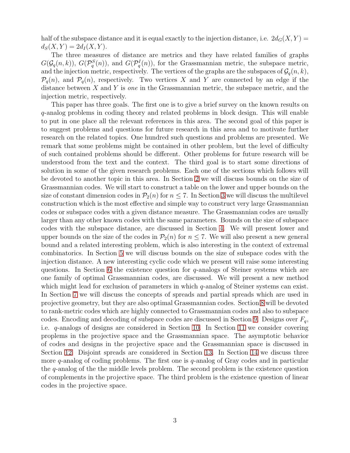half of the subspace distance and it is equal exactly to the injection distance, i.e.  $2d_G(X, Y) =$  $d_S(X, Y) = 2d_I(X, Y).$ 

The three measures of distance are metrics and they have related families of graphs  $G(\mathcal{G}_q(n,k))$ ,  $G(\mathcal{P}_q^S(n))$ , and  $G(\mathcal{P}_q^I(n))$ , for the Grassmannian metric, the subspace metric, and the injection metric, respectively. The vertices of the graphs are the subspaces of  $\mathcal{G}_q(n, k)$ ,  $\mathcal{P}_q(n)$ , and  $\mathcal{P}_q(n)$ , respectively. Two vertices X and Y are connected by an edge if the distance between  $X$  and  $Y$  is one in the Grassmannian metric, the subspace metric, and the injection metric, respectively.

This paper has three goals. The first one is to give a brief survey on the known results on q-analog problems in coding theory and related problems in block design. This will enable to put in one place all the relevant references in this area. The second goal of this paper is to suggest problems and questions for future research in this area and to motivate further research on the related topics. One hundred such questions and problems are presented. We remark that some problems might be contained in other problem, but the level of difficulty of such contained problems should be different. Other problems for future research will be understood from the text and the context. The third goal is to start some directions of solution in some of the given research problems. Each one of the sections which follows will be devoted to another topic in this area. In Section [2](#page-3-0) we will discuss bounds on the size of Grassmannian codes. We will start to construct a table on the lower and upper bounds on the size of constant dimension codes in  $\mathcal{P}_2(n)$  for  $n \leq 7$ . In Section [3](#page-7-0) we will discuss the multilevel construction which is the most effective and simple way to construct very large Grassmannian codes or subspace codes with a given distance measure. The Grassmannian codes are usually larger than any other known codes with the same parameters. Bounds on the size of subspace codes with the subspace distance, are discussed in Section [4.](#page-8-0) We will present lower and upper bounds on the size of the codes in  $\mathcal{P}_2(n)$  for  $n \leq 7$ . We will also present a new general bound and a related interesting problem, which is also interesting in the context of extremal combinatorics. In Section [5](#page-12-0) we will discuss bounds on the size of subspace codes with the injection distance. A new interesting cyclic code which we present will raise some interesting questions. In Section [6](#page-13-0) the existence question for  $q$ -analogs of Steiner systems which are one family of optimal Grassmannian codes, are discussed. We will present a new method which might lead for exclusion of parameters in which q-analog of Steiner systems can exist. In Section [7](#page-17-0) we will discuss the concepts of spreads and partial spreads which are used in projective geometry, but they are also optimal Grassmannian codes. Section [8](#page-18-0) will be devoted to rank-metric codes which are highly connected to Grassmannian codes and also to subspace codes. Encoding and decoding of subspace codes are discussed in Section [9.](#page-19-0) Designs over  $F_q$ , i.e. q-analogs of designs are considered in Section [10.](#page-20-0) In Section [11](#page-21-0) we consider covering proplems in the projective space and the Grassmannian space. The asymptotic behavior of codes and designs in the projective space and the Grassmannian space is discussed in Section [12.](#page-24-0) Disjoint spreads are considered in Section [13.](#page-26-0) In Section [14](#page-27-0) we discuss three more  $q$ -analog of coding problems. The first one is  $q$ -analog of Gray codes and in particular the q-analog of the the middle levels problem. The second problem is the existence question of complements in the projective space. The third problem is the existence question of linear codes in the projective space.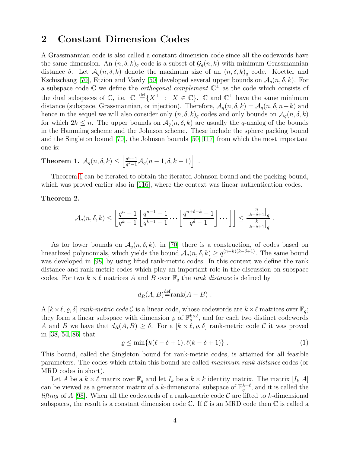## <span id="page-3-0"></span>2 Constant Dimension Codes

A Grassmannian code is also called a constant dimension code since all the codewords have the same dimension. An  $(n, \delta, k)$ <sub>q</sub> code is a subset of  $\mathcal{G}_q(n, k)$  with minimum Grassmannian distance  $\delta$ . Let  $\mathcal{A}_q(n, \delta, k)$  denote the maximum size of an  $(n, \delta, k)_q$  code. Koetter and Kschischang [\[70\]](#page-33-0), Etzion and Vardy [\[50\]](#page-32-3) developed several upper bounds on  $\mathcal{A}_q(n, \delta, k)$ . For a subspace code  $\mathbb C$  we define the *orthogonal complement*  $\mathbb C^{\perp}$  as the code which consists of the dual subspaces of  $\mathbb{C}$ , i.e.  $\mathbb{C}^{\perp} \stackrel{\text{def}}{=} \{X^{\perp} : X \in \mathbb{C}\}\.$   $\mathbb{C}$  and  $\mathbb{C}^{\perp}$  have the same minimum distance (subspace, Grassmannian, or injection). Therefore,  $A_q(n, \delta, k) = A_q(n, \delta, n-k)$  and hence in the sequel we will also consider only  $(n, \delta, k)$ <sub>q</sub> codes and only bounds on  $\mathcal{A}_q(n, \delta, k)$ for which  $2k \leq n$ . The upper bounds on  $\mathcal{A}_{q}(n, \delta, k)$  are usually the q-analog of the bounds in the Hamming scheme and the Johnson scheme. These include the sphere packing bound and the Singleton bound [\[70\]](#page-33-0), the Johnson bounds [\[50,](#page-32-3) [117\]](#page-36-1) from which the most important one is:

<span id="page-3-1"></span>**Theorem 1.** 
$$
\mathcal{A}_q(n,\delta,k) \leq \left\lfloor \frac{q^n-1}{q^k-1} \mathcal{A}_q(n-1,\delta,k-1) \right\rfloor
$$
.

Theorem [1](#page-3-1) can be iterated to obtain the iterated Johnson bound and the packing bound, which was proved earlier also in [\[116\]](#page-36-2), where the context was linear authentication codes.

#### <span id="page-3-2"></span>Theorem 2.

$$
\mathcal{A}_q(n,\delta,k)\leq \left\lfloor \frac{q^n-1}{q^k-1}\left\lfloor \frac{q^{n-1}-1}{q^{k-1}-1}\cdots \left\lfloor \frac{q^{n+\delta-k}-1}{q^{\delta}-1}\right\rfloor\cdots\right\rfloor\right\rfloor\leq \frac{\binom{n}{k-\delta+1}}{\binom{k}{k-\delta+1}_q}\;.
$$

As for lower bounds on  $A_q(n, \delta, k)$ , in [\[70\]](#page-33-0) there is a construction, of codes based on linearlized polynomials, which yields the bound  $A_q(n, \delta, k) \ge q^{(n-k)(k-\delta+1)}$ . The same bound was developed in [\[98\]](#page-35-1) by using lifted rank-metric codes. In this context we define the rank distance and rank-metric codes which play an important role in the discussion on subspace codes. For two  $k \times \ell$  matrices A and B over  $\mathbb{F}_q$  the *rank distance* is defined by

$$
d_R(A, B) \stackrel{\text{def}}{=} \text{rank}(A - B) .
$$

A  $[k \times \ell, \varrho, \delta]$  rank-metric code C is a linear code, whose codewords are  $k \times \ell$  matrices over  $\mathbb{F}_q$ ; they form a linear subspace with dimension  $\rho$  of  $\mathbb{F}_q^{k\times\ell}$ , and for each two distinct codewords A and B we have that  $d_R(A, B) \geq \delta$ . For a  $[k \times \ell, \varrho, \delta]$  rank-metric code C it was proved in [\[38,](#page-31-3) [54,](#page-32-4) [86\]](#page-34-1) that

$$
\varrho \le \min\{k(\ell - \delta + 1), \ell(k - \delta + 1)\} \ . \tag{1}
$$

This bound, called the Singleton bound for rank-metric codes, is attained for all feasible parameters. The codes which attain this bound are called maximum rank distance codes (or MRD codes in short).

Let A be a  $k \times \ell$  matrix over  $\mathbb{F}_q$  and let  $I_k$  be a  $k \times k$  identity matrix. The matrix  $[I_k \ A]$ can be viewed as a generator matrix of a k-dimensional subspace of  $\mathbb{F}_q^{k+\ell}$ , and it is called the *lifting* of A [\[98\]](#page-35-1). When all the codewords of a rank-metric code  $\mathcal C$  are lifted to k-dimensional subspaces, the result is a constant dimension code  $\mathbb C$ . If C is an MRD code then  $\mathbb C$  is called a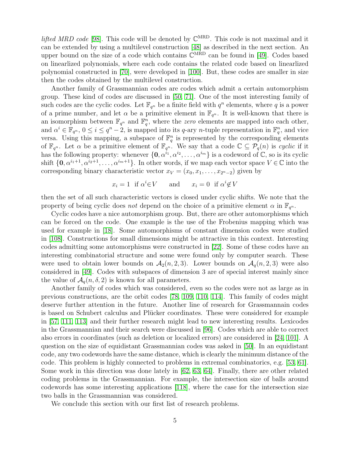*lifted MRD code* [\[98\]](#page-35-1). This code will be denoted by  $\mathbb{C}^{MRD}$ . This code is not maximal and it can be extended by using a multilevel construction [\[48\]](#page-32-5) as described in the next section. An upper bound on the size of a code which contains  $\mathbb{C}^{\text{MRD}}$  can be found in [\[49\]](#page-32-6). Codes based on linearlized polynomials, where each code contains the related code based on linearlized polynomial constructed in [\[70\]](#page-33-0), were developed in [\[100\]](#page-35-2). But, these codes are smaller in size then the codes obtained by the multilevel construction.

Another family of Grassmannian codes are codes which admit a certain automorphism group. These kind of codes are discussed in [\[50,](#page-32-3) [71\]](#page-33-2). One of the most interesting family of such codes are the cyclic codes. Let  $\mathbb{F}_{q^n}$  be a finite field with  $q^n$  elements, where q is a power of a prime number, and let  $\alpha$  be a primitive element in  $\mathbb{F}_{q^n}$ . It is well-known that there is an isomorphism between  $\mathbb{F}_{q^n}$  and  $\mathbb{F}_q^n$ , where the *zero* elements are mapped into each other, and  $\alpha^i \in \mathbb{F}_{q^n}$ ,  $0 \leq i \leq q^n - 2$ , is mapped into its q-ary n-tuple representation in  $\mathbb{F}_q^n$ , and vice versa. Using this mapping, a subspace of  $\mathbb{F}_q^n$  is represented by the corresponding elements of  $\mathbb{F}_{q^n}$ . Let  $\alpha$  be a primitive element of  $\mathbb{F}_{q^n}$ . We say that a code  $\mathbb{C} \subseteq \mathcal{P}_q(n)$  is cyclic if it has the following property: whenever  $\{0, \alpha^{i_1}, \alpha^{i_2}, \ldots, \alpha^{i_m}\}$  is a codeword of  $\mathbb{C}$ , so is its cyclic shift  $\{0, \alpha^{i_1+1}, \alpha^{i_2+1}, \ldots, \alpha^{i_m+1}\}$ . In other words, if we map each vector space  $V \in \mathbb{C}$  into the corresponding binary characteristic vector  $x_V = (x_0, x_1, \ldots, x_{2n-2})$  given by

$$
x_i = 1
$$
 if  $\alpha^i \in V$  and  $x_i = 0$  if  $\alpha^i \notin V$ 

then the set of all such characteristic vectors is closed under cyclic shifts. We note that the property of being cyclic does not depend on the choice of a primitive element  $\alpha$  in  $\mathbb{F}_{q^n}$ .

Cyclic codes have a nice automorphism group. But, there are other automorphisms which can be forced on the code. One example is the use of the Frobenius mapping which was used for example in [\[18\]](#page-30-3). Some automorphisms of constant dimension codes were studied in [\[108\]](#page-35-3). Constructions for small dimensions might be attractive in this context. Interesting codes admitting some automorphisms were constructed in [\[22\]](#page-30-4). Some of these codes have an interesting combinatorial structure and some were found only by computer search. These were used to obtain lower bounds on  $A_2(n, 2, 3)$ . Lower bounds on  $A_q(n, 2, 3)$  were also considered in [\[49\]](#page-32-6). Codes with subspaces of dimension 3 are of special interest mainly since the value of  $\mathcal{A}_{q}(n, \delta, 2)$  is known for all parameters.

Another family of codes which was considered, even so the codes were not as large as in previous constructions, are the orbit codes [\[78,](#page-34-2) [109,](#page-35-4) [110,](#page-36-3) [114\]](#page-36-4). This family of codes might deserve further attention in the future. Another line of research for Grassmannain codes is based on Schubert calculus and Plücker coordinates. These were considered for example in [\[57,](#page-33-3) [111,](#page-36-5) [113\]](#page-36-6) and their further research might lead to new interesting results. Lexicodes in the Grassmannian and their search were discussed in [\[96\]](#page-35-5). Codes which are able to correct also errors in coordinates (such as deletion or localized errors) are considered in [\[24,](#page-31-4) [101\]](#page-35-6). A question on the size of equidistant Grassmannian codes was asked in [\[50\]](#page-32-3). In an equidistant code, any two codewords have the same distance, which is clearly the minimum distance of the code. This problem is highly connected to problems in extremal combinatorics, e.g. [\[53,](#page-32-0) [61\]](#page-33-4). Some work in this direction was done lately in [\[62,](#page-33-5) [63,](#page-33-6) [64\]](#page-33-7). Finally, there are other related coding problems in the Grassmannian. For example, the intersection size of balls around codewords has some interesting applications [\[118\]](#page-36-7), where the case for the intersection size two balls in the Grassmannian was considered.

We conclude this section with our first list of research problems.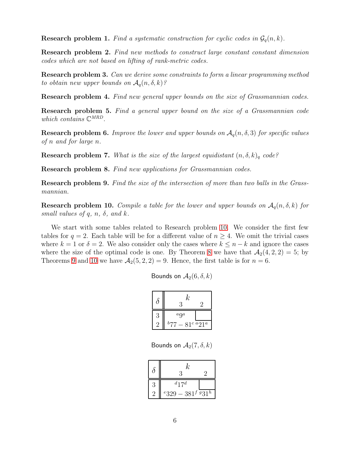**Research problem 1.** Find a systematic construction for cyclic codes in  $\mathcal{G}_q(n, k)$ .

Research problem 2. Find new methods to construct large constant constant dimension codes which are not based on lifting of rank-metric codes.

Research problem 3. Can we derive some constraints to form a linear programming method to obtain new upper bounds on  $\mathcal{A}_q(n, \delta, k)$ ?

Research problem 4. Find new general upper bounds on the size of Grassmannian codes.

Research problem 5. Find a general upper bound on the size of a Grassmannian code which contains  $\mathbb{C}^{MRD}$ .

**Research problem 6.** Improve the lower and upper bounds on  $A_q(n, \delta, 3)$  for specific values of n and for large n.

**Research problem 7.** What is the size of the largest equidistant  $(n, \delta, k)$ <sub>q</sub> code?

Research problem 8. Find new applications for Grassmannian codes.

Research problem 9. Find the size of the intersection of more than two balls in the Grassmannian.

<span id="page-5-0"></span>**Research problem 10.** Compile a table for the lower and upper bounds on  $A_q(n, \delta, k)$  for small values of q, n,  $\delta$ , and k.

We start with some tables related to Research problem [10.](#page-5-0) We consider the first few tables for  $q = 2$ . Each table will be for a different value of  $n \geq 4$ . We omit the trivial cases where  $k = 1$  or  $\delta = 2$ . We also consider only the cases where  $k \leq n - k$  and ignore the cases where the size of the optimal code is one. By Theorem [8](#page-17-1) we have that  $\mathcal{A}_2(4, 2, 2) = 5$ ; by Theorems [9](#page-17-2) and [10](#page-17-3) we have  $A_2(5, 2, 2) = 9$ . Hence, the first table is for  $n = 6$ .

| Bounds on $A_2(6, \delta, k)$ |  |  |  |
|-------------------------------|--|--|--|
|-------------------------------|--|--|--|

|   | $\it{k}$<br>റ           |  |
|---|-------------------------|--|
| 3 | $a\Omega$               |  |
|   | b<br>$7-81^c\,{}^a21^a$ |  |

Bounds on  $A_2(7, \delta, k)$ 

| ο         | k,<br>3                                       |  |
|-----------|-----------------------------------------------|--|
| 3         | $d$ 17 $d$                                    |  |
| $\dot{2}$ | $e_3$ 29 – 381 <sup>f g</sup> 31 <sup>h</sup> |  |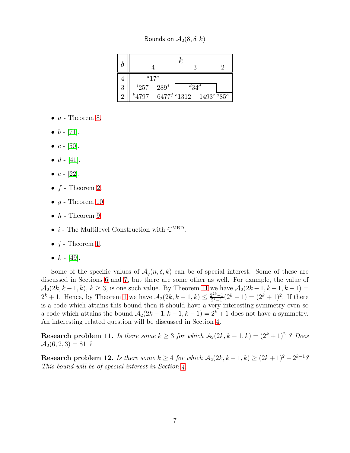Bounds on  $A_2(8, \delta, k)$ 

|          | $a_17a$                                        |                      |  |
|----------|------------------------------------------------|----------------------|--|
| 3        | $i257-289^j$                                   | $d_3$ 4 <sup>d</sup> |  |
| $\Omega$ | $k$ 4797 - 6477 $f e$ 1312 - 1493 $e e$ 85 $e$ |                      |  |

- $a$  Theorem [8.](#page-17-1)
- $b [71]$  $b [71]$ .
- $c [50]$  $c [50]$ .
- $d [41]$  $d [41]$ .
- $e [22]$  $e [22]$ .
- $f$  Theorem [2.](#page-3-2)
- $g$  Theorem [10.](#page-17-3)
- $h$  Theorem [9.](#page-17-2)
- $\bullet\,$   $i$  The Multilevel Construction with  $\mathbb{C}^{\mathrm{MRD}}.$
- $j$  Theorem [1.](#page-3-1)
- $k [49]$  $k [49]$ .

Some of the specific values of  $A_q(n, \delta, k)$  can be of special interest. Some of these are discussed in Sections [6](#page-13-0) and [7,](#page-17-0) but there are some other as well. For example, the value of  $\mathcal{A}_2(2k, k-1, k), k \geq 3$ , is one such value. By Theorem [11](#page-18-1) we have  $\mathcal{A}_2(2k-1, k-1, k-1)$  =  $2^{k} + 1$  $2^{k} + 1$ . Hence, by Theorem 1 we have  $A_2(2k, k-1, k) \leq \frac{2^{2k}-1}{2^{k}-1}$  $\frac{2^{2k}-1}{2^k-1}(2^k+1)=(2^k+1)^2$ . If there is a code which attains this bound then it should have a very interesting symmetry even so a code which attains the bound  $\mathcal{A}_2(2k-1, k-1, k-1) = 2^k + 1$  does not have a symmetry. An interesting related question will be discussed in Section [4.](#page-8-0)

Research problem 11. Is there some  $k \geq 3$  for which  $A_2(2k, k-1, k) = (2^k + 1)^2$ ? Does  $A_2(6, 2, 3) = 81$  ?

<span id="page-6-0"></span>Research problem 12. Is there some  $k \geq 4$  for which  $\mathcal{A}_2(2k, k-1, k) \geq (2k+1)^2 - 2^{k-1}\frac{2k}{k}$ This bound will be of special interest in Section [4.](#page-8-0)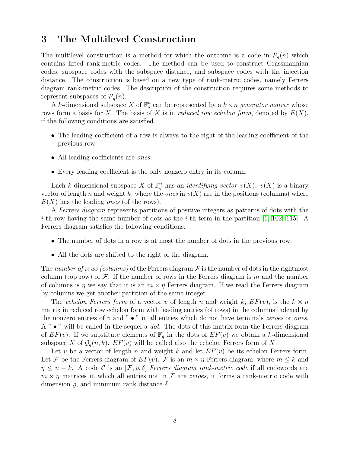## <span id="page-7-0"></span>3 The Multilevel Construction

The multilevel construction is a method for which the outcome is a code in  $\mathcal{P}_q(n)$  which contains lifted rank-metric codes. The method can be used to construct Grassmannian codes, subspace codes with the subspace distance, and subspace codes with the injection distance. The construction is based on a new type of rank-metric codes, namely Ferrers diagram rank-metric codes. The description of the construction requires some methods to represent subspaces of  $P_q(n)$ .

A k-dimensional subspace X of  $\mathbb{F}_q^n$  can be represented by a  $k \times n$  generator matrix whose rows form a basis for X. The basis of X is in reduced row echelon form, denoted by  $E(X)$ , if the following conditions are satisfied.

- The leading coefficient of a row is always to the right of the leading coefficient of the previous row.
- All leading coefficients are *ones*.
- Every leading coefficient is the only nonzero entry in its column.

Each k-dimensional subspace X of  $\mathbb{F}_q^n$  has an *identifying vector*  $v(X)$ .  $v(X)$  is a binary vector of length n and weight k, where the *ones* in  $v(X)$  are in the positions (columns) where  $E(X)$  has the leading *ones* (of the rows).

A Ferrers diagram represents partitions of positive integers as patterns of dots with the *i*-th row having the same number of dots as the *i*-th term in the partition [\[1,](#page-29-0) [102,](#page-35-7) [115\]](#page-36-0). A Ferrers diagram satisfies the following conditions.

- The number of dots in a row is at most the number of dots in the previous row.
- All the dots are shifted to the right of the diagram.

The number of rows (columns) of the Ferrers diagram  $\mathcal F$  is the number of dots in the rightmost column (top row) of  $\mathcal F$ . If the number of rows in the Ferrers diagram is m and the number of columns is  $\eta$  we say that it is an  $m \times \eta$  Ferrers diagram. If we read the Ferrers diagram by columns we get another partition of the same integer.

The echelon Ferrers form of a vector v of length n and weight k,  $EF(v)$ , is the  $k \times n$ matrix in reduced row echelon form with leading entries (of rows) in the columns indexed by the nonzero entries of  $v$  and " $\bullet$ " in all entries which do not have terminals *zeroes* or *ones*. A " $\bullet$ " will be called in the sequel a *dot*. The dots of this matrix form the Ferrers diagram of  $EF(v)$ . If we substitute elements of  $\mathbb{F}_q$  in the dots of  $EF(v)$  we obtain a k-dimensional subspace X of  $\mathcal{G}_q(n, k)$ .  $EF(v)$  will be called also the echelon Ferrers form of X.

Let v be a vector of length n and weight k and let  $EF(v)$  be its echelon Ferrers form. Let F be the Ferrers diagram of  $EF(v)$ . F is an  $m \times \eta$  Ferrers diagram, where  $m \leq k$  and  $\eta \leq n-k$ . A code C is an  $[\mathcal{F}, \rho, \delta]$  Ferrers diagram rank-metric code if all codewords are  $m \times \eta$  matrices in which all entries not in  $\mathcal F$  are *zeroes*, it forms a rank-metric code with dimension  $\varrho$ , and minimum rank distance  $\delta$ .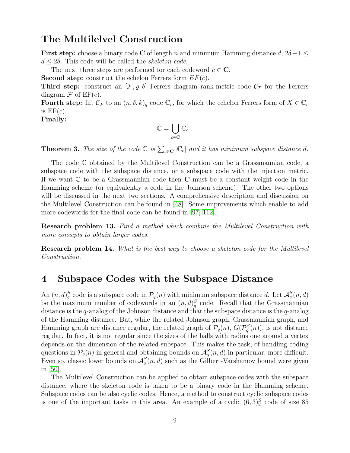## The Multilelvel Construction

First step: choose a binary code C of length n and minimum Hamming distance  $d, 2\delta - 1 \leq$  $d \leq 2\delta$ . This code will be called the *skeleton code*.

The next three steps are performed for each codeword  $c \in \mathbb{C}$ .

**Second step:** construct the echelon Ferrers form  $EF(c)$ .

Third step: construct an  $[\mathcal{F}, \varrho, \delta]$  Ferrers diagram rank-metric code  $\mathcal{C}_{\mathcal{F}}$  for the Ferrers diagram  $\mathcal F$  of  $EF(c)$ .

**Fourth step:** lift  $\mathcal{C}_{\mathcal{F}}$  to an  $(n, \delta, k)_q$  code  $\mathbb{C}_c$ , for which the echelon Ferrers form of  $X \in \mathbb{C}_c$ is  $EF(c)$ .

Finally:

$$
\mathbb{C} = \bigcup_{c \in \mathbf{C}} \mathbb{C}_c \ .
$$

**Theorem 3.** The size of the code  $\mathbb{C}$  is  $\sum_{c \in \mathbf{C}} |\mathbb{C}_c|$  and it has minimum subspace distance d.

The code C obtained by the Multilevel Construction can be a Grassmannian code, a subspace code with the subspace distance, or a subspace code with the injection metric. If we want  $\mathbb C$  to be a Grassmannian code then  $C$  must be a constant weight code in the Hamming scheme (or equivalently a code in the Johnson scheme). The other two options will be discussed in the next two sections. A comprehensive description and discussion on the Multilevel Construction can be found in [\[48\]](#page-32-5). Some improvements which enable to add more codewords for the final code can be found in [\[97,](#page-35-8) [112\]](#page-36-8).

Research problem 13. Find a method which combine the Multilevel Construction with more concepts to obtain larger codes.

Research problem 14. What is the best way to choose a skeleton code for the Multilevel Construction.

## <span id="page-8-0"></span>4 Subspace Codes with the Subspace Distance

An  $(n, d)_q^S$  code is a subspace code in  $\mathcal{P}_q(n)$  with minimum subspace distance d. Let  $\mathcal{A}_q^S(n, d)$ be the maximum number of codewords in an  $(n, d)_q^S$  code. Recall that the Grassmannian distance is the q-analog of the Johnson distance and that the subspace distance is the q-analog of the Hamming distance. But, while the related Johnson graph, Grassmannian graph, and Hamming graph are distance regular, the related graph of  $\mathcal{P}_q(n)$ ,  $G(\mathcal{P}_q^S(n))$ , is not distance regular. In fact, it is not regular since the sizes of the balls with radius one around a vertex depends on the dimension of the related subspace. This makes the task, of handling coding questions in  $\mathcal{P}_q(n)$  in general and obtaining bounds on  $\mathcal{A}_q^S(n,d)$  in particular, more difficult. Even so, classic lower bounds on  $\mathcal{A}_q^S(n,d)$  such as the Gilbert-Varshamov bound were given in [\[50\]](#page-32-3).

The Multilevel Construction can be applied to obtain subspace codes with the subspace distance, where the skeleton code is taken to be a binary code in the Hamming scheme. Subspace codes can be also cyclic codes. Hence, a method to construct cyclic subspace codes is one of the important tasks in this area. An example of a cyclic  $(6,3)_2^S$  code of size 85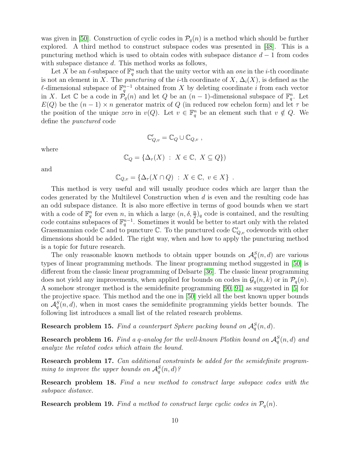was given in [\[50\]](#page-32-3). Construction of cyclic codes in  $\mathcal{P}_q(n)$  is a method which should be further explored. A third method to construct subspace codes was presented in [\[48\]](#page-32-5). This is a puncturing method which is used to obtain codes with subspace distance  $d-1$  from codes with subspace distance d. This method works as follows,

Let X be an  $\ell$ -subspace of  $\mathbb{F}_q^n$  such that the unity vector with an one in the *i*-th coordinate is not an element in X. The *puncturing* of the *i*-th coordinate of  $X$ ,  $\Delta_i(X)$ , is defined as the le dimensional subspace of  $\mathbb{F}_q^{n-1}$  obtained from X by deleting coordinate i from each vector in X. Let  $\mathbb C$  be a code in  $\mathcal P_q(n)$  and let  $Q$  be an  $(n-1)$ -dimensional subspace of  $\mathbb F_q^n$ . Let  $E(Q)$  be the  $(n-1) \times n$  generator matrix of Q (in reduced row echelon form) and let  $\tau$  be the position of the unique zero in  $v(Q)$ . Let  $v \in \mathbb{F}_q^n$  be an element such that  $v \notin Q$ . We define the punctured code

$$
\mathbb{C}'_{Q,v} = \mathbb{C}_Q \cup \mathbb{C}_{Q,v} ,
$$

where

$$
\mathbb{C}_Q = \{ \Delta_\tau(X) : X \in \mathbb{C}, X \subseteq Q \} )
$$

and

$$
\mathbb{C}_{Q,v} = \{ \Delta_{\tau}(X \cap Q) : X \in \mathbb{C}, v \in X \} .
$$

This method is very useful and will usually produce codes which are larger than the codes generated by the Multilevel Construction when d is even and the resulting code has an odd subspace distance. It is also more effective in terms of good bounds when we start with a code of  $\mathbb{F}_q^n$  for even n, in which a large  $(n, \delta, \frac{n}{2})_q$  code is contained, and the resulting code contains subspaces of  $\mathbb{F}_q^{n-1}$ . Sometimes it would be better to start only with the related Grassmannian code  $\mathbb C$  and to puncture  $\mathbb C$ . To the punctured code  $\mathbb C'_{Q,v}$  codewords with other dimensions should be added. The right way, when and how to apply the puncturing method is a topic for future research.

The only reasonable known methods to obtain upper bounds on  $\mathcal{A}_q^S(n,d)$  are various types of linear programming methods. The linear programming method suggested in [\[50\]](#page-32-3) is different from the classic linear programming of Delsarte [\[36\]](#page-31-5). The classic linear programming does not yield any improvements, when applied for bounds on codes in  $\mathcal{G}_q(n, k)$  or in  $\mathcal{P}_q(n)$ . A somehow stronger method is the semidefinite programming [\[90,](#page-34-3) [91\]](#page-35-9) as suggested in [\[5\]](#page-29-1) for the projective space. This method and the one in [\[50\]](#page-32-3) yield all the best known upper bounds on  $\mathcal{A}_q^S(n, d)$ , when in most cases the semidefinite programming yields better bounds. The following list introduces a small list of the related research problems.

**Research problem 15.** Find a counterpart Sphere packing bound on  $\mathcal{A}_q^S(n,d)$ .

**Research problem 16.** Find a q-analog for the well-known Plotkin bound on  $\mathcal{A}_q^S(n,d)$  and analyze the related codes which attain the bound.

Research problem 17. Can additional constraints be added for the semidefinite programming to improve the upper bounds on  $\mathcal{A}_q^S(n,d)$ ?

Research problem 18. Find a new method to construct large subspace codes with the subspace distance.

**Research problem 19.** Find a method to construct large cyclic codes in  $P_q(n)$ .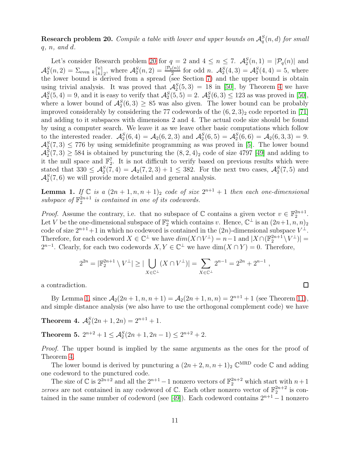<span id="page-10-0"></span>**Research problem 20.** Compile a table with lower and upper bounds on  $\mathcal{A}_q^S(n,d)$  for small  $q, n, \text{ and } d.$ 

Let's consider Research problem [20](#page-10-0) for  $q = 2$  and  $4 \leq n \leq 7$ .  $\mathcal{A}_2^S(n,1) = |\mathcal{P}_q(n)|$  and  $\mathcal{A}_2^S(n,2) = \sum_{\text{even }k} \begin{bmatrix} n \\ k \end{bmatrix}$  $\mathcal{A}_{k}^{S}(n, 2) = \frac{|\mathcal{P}_{q}(n)|}{2}$  for odd n.  $\mathcal{A}_{2}^{S}(4, 3) = \mathcal{A}_{2}^{S}(4, 4) = 5$ , where the lower bound is derived from a spread (see Section [7\)](#page-17-0) and the upper bound is obtain using trivial analysis. It was proved that  $\mathcal{A}_2^S(5,3) = 18$  in [\[50\]](#page-32-3), by Theorem [4](#page-10-1) we have  $\mathcal{A}_2^S(5,4) = 9$ , and it is easy to verify that  $\mathcal{A}_2^S(5,5) = 2$ .  $\mathcal{A}_2^S(6,3) \leq 123$  as was proved in [\[50\]](#page-32-3), where a lower bound of  $\mathcal{A}_2^S(6,3) \geq 85$  was also given. The lower bound can be probably improved considerably by considering the 77 codewords of the  $(6, 2, 3)_2$  code reported in [\[71\]](#page-33-2) and adding to it subspaces with dimensions 2 and 4. The actual code size should be found by using a computer search. We leave it as we leave other basic computations which follow to the interested reader.  $\mathcal{A}_{2}^{S}(6,4) = \mathcal{A}_{2}(6,2,3)$  and  $\mathcal{A}_{2}^{S}(6,5) = \mathcal{A}_{2}(6,6) = \mathcal{A}_{2}(6,3,3) = 9$ .  $\mathcal{A}_2^S(7,3) \leq 776$  by using semidefinite programming as was proved in [\[5\]](#page-29-1). The lower bound  $\mathcal{A}_2^S(7,3) \geq 584$  is obtained by puncturing the  $(8,2,4)_2$  code of size 4797 [\[49\]](#page-32-6) and adding to it the null space and  $\mathbb{F}_2^7$ . It is not difficult to verify based on previous results which were stated that  $330 \leq \mathcal{A}_2^S(7,4) = \mathcal{A}_2(7,2,3) + 1 \leq 382$ . For the next two cases,  $\mathcal{A}_2^S(7,5)$  and  $\mathcal{A}_2^S(7,6)$  we will provide more detailed and general analysis.

<span id="page-10-2"></span>**Lemma 1.** If  $\mathbb C$  is a  $(2n+1,n,n+1)$  code of size  $2^{n+1}+1$  then each one-dimensional subspace of  $\mathbb{F}_2^{2n+1}$  is contained in one of its codewords.

*Proof.* Assume the contrary, i.e. that no subspace of  $\mathbb C$  contains a given vector  $v \in \mathbb{F}_2^{2n+1}$ . Let V be the one-dimensional subspace of  $\mathbb{F}_2^n$  which contains v. Hence,  $\mathbb{C}^{\perp}$  is an  $(2n+1, n, n)_2$ code of size  $2^{n+1}+1$  in which no codeword is contained in the  $(2n)$ -dimensional subspace  $V^{\perp}$ . Therefore, for each codeword  $X \in \mathbb{C}^{\perp}$  we have  $dim(X \cap V^{\perp}) = n-1$  and  $|X \cap (\mathbb{F}_2^{2n+1} \setminus V^{\perp})|$  =  $2^{n-1}$ . Clearly, for each two codewords  $X, Y \in \mathbb{C}^{\perp}$  we have  $\dim(X \cap Y) = 0$ . Therefore,

$$
2^{2n} = |\mathbb{F}_2^{2n+1} \setminus V^{\perp}| \ge |\bigcup_{X \in \mathbb{C}^{\perp}} (X \cap V^{\perp})| = \sum_{X \in \mathbb{C}^{\perp}} 2^{n-1} = 2^{2n} + 2^{n-1}
$$

a contradiction.

By Lemma [1,](#page-10-2) since  $A_2(2n+1, n, n+1) = A_2(2n+1, n, n) = 2^{n+1} + 1$  (see Theorem [11\)](#page-18-1), and simple distance analysis (we also have to use the orthogonal complement code) we have

<span id="page-10-1"></span>**Theorem 4.**  $\mathcal{A}_2^S(2n+1, 2n) = 2^{n+1} + 1$ .

Theorem 5.  $2^{n+2} + 1 \leq \mathcal{A}_2^S(2n+1, 2n-1) \leq 2^{n+2} + 2$ .

Proof. The upper bound is implied by the same arguments as the ones for the proof of Theorem [4.](#page-10-1)

The lower bound is derived by puncturing a  $(2n+2, n, n+1)$ <sub>2</sub>  $\mathbb{C}^{\text{MRD}}$  code  $\mathbb C$  and adding one codeword to the punctured code.

The size of  $\mathbb{C}$  is  $2^{2n+2}$  and all the  $2^{n+1}-1$  nonzero vectors of  $\mathbb{F}_2^{2n+2}$  which start with  $n+1$ zeroes are not contained in any codeword of  $\mathbb{C}$ . Each other nonzero vector of  $\mathbb{F}_2^{2n+2}$  is con-tained in the same number of codeword (see [\[49\]](#page-32-6)). Each codeword contains  $2^{n+1} - 1$  nonzero

□

,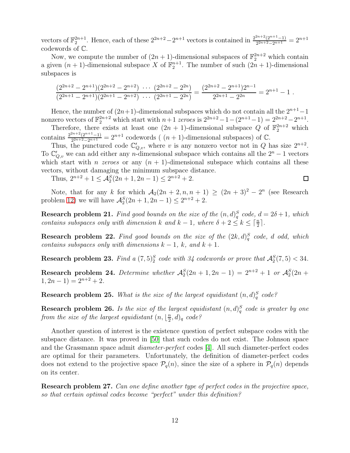vectors of  $\mathbb{F}_2^{2n+1}$ . Hence, each of these  $2^{2n+2}-2^{n+1}$  vectors is contained in  $\frac{2^{2n+2}(2^{n+1}-1)}{2^{2n+2}-2^{n+1}}$  $\frac{2^{2n+2}(2^{n+1}-1)}{2^{2n+2}-2^{n+1}}=2^{n+1}$ codewords of C.

Now, we compute the number of  $(2n + 1)$ -dimensional subspaces of  $\mathbb{F}_2^{2n+2}$  which contain a given  $(n + 1)$ -dimensional subspace X of  $\mathbb{F}_2^{n+1}$ . The number of such  $(2n + 1)$ -dimensional subspaces is

$$
\frac{(2^{2n+2}-2^{n+1})(2^{2n+2}-2^{n+2})\,\cdots\,(2^{2n+2}-2^{2n})}{(2^{2n+1}-2^{n+1})(2^{2n+1}-2^{n+2})\,\cdots\,(2^{2n+1}-2^{2n})}=\frac{(2^{2n+2}-2^{n+1})2^{n-1}}{2^{2n+1}-2^{2n}}=2^{n+1}-1.
$$

Hence, the number of  $(2n+1)$ -dimensional subspaces which do not contain all the  $2^{n+1}-1$ nonzero vectors of  $\mathbb{F}_2^{2n+2}$  which start with  $n+1$  zeroes is  $2^{2n+2}-1-(2^{n+1}-1)=2^{2n+2}-2^{n+1}$ .

Therefore, there exists at least one  $(2n + 1)$ -dimensional subspace Q of  $\mathbb{F}_2^{2n+2}$  which contains  $\frac{2^{2n+2}(2^{n+1}-1)}{2^{2n+2}-2^{n+1}}$  $\frac{2^{2n+2}(2^{n+1}-1)}{2^{2n+2}-2^{n+1}} = 2^{n+1}$  codewords ( $(n+1)$ -dimensional subspaces) of  $\mathbb{C}$ .

Thus, the punctured code  $\mathbb{C}'_{Q,v}$ , where v is any nonzero vector not in Q has size  $2^{n+2}$ . To  $\mathbb{C}'_{Q,v}$  we can add either any n-dimensional subspace which contains all the  $2^n - 1$  vectors which start with *n zeroes* or any  $(n + 1)$ -dimensional subspace which contains all these vectors, without damaging the minimum subspace distance.

 $\Box$ 

Thus,  $2^{n+2} + 1 \leq \mathcal{A}_2^S(2n+1, 2n-1) \leq 2^{n+2} + 2$ .

Note, that for any k for which  $A_2(2n + 2, n, n + 1) \ge (2n + 3)^2 - 2^n$  (see Research problem [12\)](#page-6-0) we will have  $A_2^S(2n + 1, 2n - 1) \leq 2^{n+2} + 2$ .

**Research problem 21.** Find good bounds on the size of the  $(n,d)_{q}^{S}$  code,  $d = 2\delta + 1$ , which contains subspaces only with dimension k and  $k-1$ , where  $\delta + 2 \leq k \leq \lceil \frac{n}{2} \rceil$ .

**Research problem 22.** Find good bounds on the size of the  $(2k, d)_q^S$  code, d odd, which contains subspaces only with dimensions  $k - 1$ , k, and  $k + 1$ .

**Research problem 23.** Find a  $(7,5)_2^S$  code with 34 codewords or prove that  $\mathcal{A}_2^S(7,5) < 34$ .

Research problem 24. Determine whether  $\mathcal{A}_2^S(2n+1, 2n-1) = 2^{n+2} + 1$  or  $\mathcal{A}_2^S(2n+1)$  $1, 2n - 1$ ) =  $2^{n+2} + 2$ .

**Research problem 25.** What is the size of the largest equidistant  $(n,d)_{q}^{S}$  code?

**Research problem 26.** Is the size of the largest equidistant  $(n,d)_{q}^{S}$  code is greater by one from the size of the largest equidistant  $(n, \frac{\pi}{2})$  $(\frac{n}{2},d)_q$  code?

Another question of interest is the existence question of perfect subspace codes with the subspace distance. It was proved in [\[50\]](#page-32-3) that such codes do not exist. The Johnson space and the Grassmann space admit diameter-perfect codes [\[4\]](#page-29-2). All such diameter-perfect codes are optimal for their parameters. Unfortunately, the definition of diameter-perfect codes does not extend to the projective space  $P_q(n)$ , since the size of a sphere in  $P_q(n)$  depends on its center.

Research problem 27. Can one define another type of perfect codes in the projective space, so that certain optimal codes become "perfect" under this definition?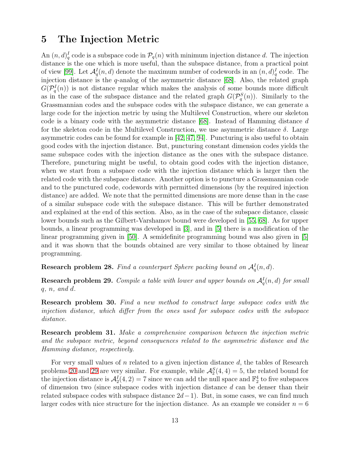## <span id="page-12-0"></span>5 The Injection Metric

An  $(n, d)_q^I$  code is a subspace code in  $\mathcal{P}_q(n)$  with minimum injection distance d. The injection distance is the one which is more useful, than the subspace distance, from a practical point of view [\[99\]](#page-35-10). Let  $\mathcal{A}_q^I(n, d)$  denote the maximum number of codewords in an  $(n, d)_q^I$  code. The injection distance is the q-analog of the asymmetric distance [\[68\]](#page-33-8). Also, the related graph  $G(\mathcal{P}_q^I(n))$  is not distance regular which makes the analysis of some bounds more difficult as in the case of the subspace distance and the related graph  $G(\mathcal{P}_q^S(n))$ . Similarly to the Grassmannian codes and the subspace codes with the subspace distance, we can generate a large code for the injection metric by using the Multilevel Construction, where our skeleton code is a binary code with the asymmetric distance  $[68]$ . Instead of Hamming distance d for the skeleton code in the Multilevel Construction, we use asymmetric distance  $\delta$ . Large asymmetric codes can be found for example in [\[42,](#page-32-1) [47,](#page-32-2) [94\]](#page-35-0). Puncturing is also useful to obtain good codes with the injection distance. But, puncturing constant dimension codes yields the same subspace codes with the injection distance as the ones with the subspace distance. Therefore, puncturing might be useful, to obtain good codes with the injection distance, when we start from a subspace code with the injection distance which is larger then the related code with the subspace distance. Another option is to puncture a Grassmannian code and to the punctured code, codewords with permitted dimensions (by the required injection distance) are added. We note that the permitted dimensions are more dense than in the case of a similar subspace code with the subspace distance. This will be further demonstrated and explained at the end of this section. Also, as in the case of the subspace distance, classic lower bounds such as the Gilbert-Varshamov bound were developed in [\[55,](#page-32-8) [68\]](#page-33-8). As for upper bounds, a linear programming was developed in [\[3\]](#page-29-3), and in [\[5\]](#page-29-1) there is a modification of the linear programming given in [\[50\]](#page-32-3). A semidefinite programming bound was also given in [\[5\]](#page-29-1) and it was shown that the bounds obtained are very similar to those obtained by linear programming.

**Research problem 28.** Find a counterpart Sphere packing bound on  $\mathcal{A}_q^I(n,d)$ .

<span id="page-12-1"></span>**Research problem 29.** Compile a table with lower and upper bounds on  $\mathcal{A}_q^I(n,d)$  for small  $q, n, \text{ and } d.$ 

Research problem 30. Find a new method to construct large subspace codes with the injection distance, which differ from the ones used for subspace codes with the subspace distance.

Research problem 31. Make a comprehensive comparison between the injection metric and the subspace metric, beyond consequences related to the asymmetric distance and the Hamming distance, respectively.

For very small values of n related to a given injection distance d, the tables of Research problems [20](#page-10-0) and [29](#page-12-1) are very similar. For example, while  $\mathcal{A}_2^S(4,4) = 5$ , the related bound for the injection distance is  $\mathcal{A}_2^I(4,2) = 7$  since we can add the null space and  $\mathbb{F}_2^4$  to five subspaces of dimension two (since subspace codes with injection distance d can be denser than their related subspace codes with subspace distance  $2d-1$ ). But, in some cases, we can find much larger codes with nice structure for the injection distance. As an example we consider  $n = 6$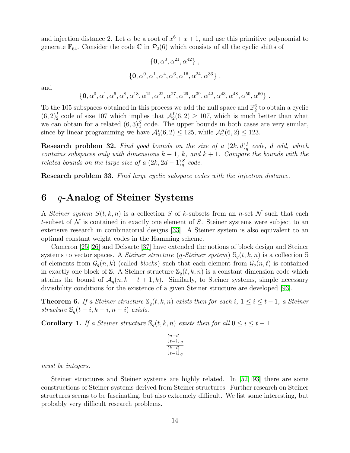and injection distance 2. Let  $\alpha$  be a root of  $x^6 + x + 1$ , and use this primitive polynomial to generate  $\mathbb{F}_{64}$ . Consider the code C in  $\mathcal{P}_2(6)$  which consists of all the cyclic shifts of

$$
\{0, \alpha^0, \alpha^{21}, \alpha^{42}\},
$$
  

$$
\{0, \alpha^0, \alpha^1, \alpha^4, \alpha^6, \alpha^{16}, \alpha^{24}, \alpha^{33}\},
$$

and

$$
\{0, \alpha^0, \alpha^1, \alpha^6, \alpha^8, \alpha^{18}, \alpha^{21}, \alpha^{22}, \alpha^{27}, \alpha^{29}, \alpha^{39}, \alpha^{42}, \alpha^{43}, \alpha^{48}, \alpha^{50}, \alpha^{60}\}.
$$

To the 105 subspaces obtained in this process we add the null space and  $\mathbb{F}_2^6$  to obtain a cyclic  $(6,2)^I_2$  code of size 107 which implies that  $\mathcal{A}_2^I(6,2) \geq 107$ , which is much better than what we can obtain for a related  $(6,3)_2^S$  code. The upper bounds in both cases are very similar, since by linear programming we have  $\mathcal{A}_2^I(6,2) \leq 125$ , while  $\mathcal{A}_2^S(6,2) \leq 123$ .

**Research problem 32.** Find good bounds on the size of a  $(2k, d)_q^I$  code, d odd, which contains subspaces only with dimensions  $k-1$ , k, and  $k+1$ . Compare the bounds with the related bounds on the large size of a  $(2k, 2d-1)_{q}^{S}$  code.

<span id="page-13-0"></span>Research problem 33. Find large cyclic subspace codes with the injection distance.

## 6 q-Analog of Steiner Systems

A Steiner system  $S(t, k, n)$  is a collection S of k-subsets from an n-set N such that each t-subset of  $\mathcal N$  is contained in exactly one element of S. Steiner systems were subject to an extensive research in combinatorial designs [\[33\]](#page-31-6). A Steiner system is also equivalent to an optimal constant weight codes in the Hamming scheme.

Cameron [\[25,](#page-31-7) [26\]](#page-31-8) and Delsarte [\[37\]](#page-31-9) have extended the notions of block design and Steiner systems to vector spaces. A *Steiner structure*  $(q\text{-}Steiner system) \mathcal{S}_q(t, k, n)$  is a collection S of elements from  $\mathcal{G}_q(n, k)$  (called *blocks*) such that each element from  $\mathcal{G}_q(n, t)$  is contained in exactly one block of S. A Steiner structure  $\mathcal{S}_q(t, k, n)$  is a constant dimension code which attains the bound of  $A_q(n, k-t+1, k)$ . Similarly, to Steiner systems, simple necessary divisibility conditions for the existence of a given Steiner structure are developed [\[93\]](#page-35-11).

<span id="page-13-1"></span>**Theorem 6.** If a Steiner structure  $\mathbb{S}_q(t, k, n)$  exists then for each i,  $1 \le i \le t-1$ , a Steiner structure  $\mathbb{S}_q(t-i, k-i, n-i)$  exists.

**Corollary 1.** If a Steiner structure  $\mathbb{S}_q(t, k, n)$  exists then for all  $0 \le i \le t - 1$ .

$$
\frac{\left[n-i\right]_q}{\left[k-i\right]_q}
$$

must be integers.

Steiner structures and Steiner systems are highly related. In [\[52,](#page-32-9) [93\]](#page-35-11) there are some constructions of Steiner systems derived from Steiner structures. Further research on Steiner structures seems to be fascinating, but also extremely difficult. We list some interesting, but probably very difficult research problems.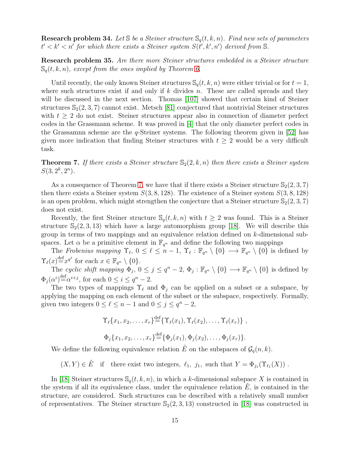**Research problem 34.** Let  $\mathcal{S}$  be a Steiner structure  $\mathcal{S}_q(t, k, n)$ . Find new sets of parameters  $t' < k' < n'$  for which there exists a Steiner system  $S(t', k', n')$  derived from S.

Research problem 35. Are there more Steiner structures embedded in a Steiner structure  $\mathbb{S}_{q}(t, k, n)$ , except from the ones implied by Theorem [6.](#page-13-1)

Until recently, the only known Steiner structures  $\mathcal{S}_q(t, k, n)$  were either trivial or for  $t = 1$ , where such structures exist if and only if  $k$  divides  $n$ . These are called spreads and they will be discussed in the next section. Thomas [\[107\]](#page-35-12) showed that certain kind of Steiner structures  $\mathbb{S}_2(2,3,7)$  cannot exist. Metsch [\[81\]](#page-34-4) conjectured that nontrivial Steiner structures with  $t \geq 2$  do not exist. Steiner structures appear also in connection of diameter perfect codes in the Grassmann scheme. It was proved in [\[4\]](#page-29-2) that the only diameter perfect codes in the Grassamnn scheme are the  $q$ -Steiner systems. The following theorem given in [\[52\]](#page-32-9) has given more indication that finding Steiner structures with  $t \geq 2$  would be a very difficult task.

<span id="page-14-0"></span>**Theorem 7.** If there exists a Steiner structure  $\mathbb{S}_2(2, k, n)$  then there exists a Steiner system  $S(3, 2^k, 2^n)$ .

As a consequence of Theorem [7,](#page-14-0) we have that if there exists a Steiner structure  $\mathbb{S}_2(2,3,7)$ then there exists a Steiner system  $S(3,8,128)$ . The existence of a Steiner system  $S(3,8,128)$ is an open problem, which might strengthen the conjecture that a Steiner structure  $\mathbb{S}_2(2,3,7)$ does not exist.

Recently, the first Steiner structure  $\mathbb{S}_{q}(t, k, n)$  with  $t \geq 2$  was found. This is a Steiner structure  $\mathbb{S}_2(2,3,13)$  which have a large automorphism group [\[18\]](#page-30-3). We will describe this group in terms of two mappings and an equivalence relation defined on k-dimensional subspaces. Let  $\alpha$  be a primitive element in  $\mathbb{F}_{q^n}$  and define the following two mappings

The Frobenius mapping  $\Upsilon_{\ell}$ ,  $0 \leq \ell \leq n-1$ ,  $\Upsilon_{\ell} : \mathbb{F}_{q^n} \setminus \{0\} \to \mathbb{F}_{q^n} \setminus \{0\}$  is defined by  $\Upsilon_{\ell}(x) \stackrel{\text{def}}{=} x^{q^{\ell}}$  for each  $x \in \mathbb{F}_{q^n} \setminus \{0\}.$ 

The cyclic shift mapping  $\Phi_j$ ,  $0 \leq j \leq q^n - 2$ ,  $\Phi_j$ :  $\mathbb{F}_{q^n} \setminus \{0\} \to \mathbb{F}_{q^n} \setminus \{0\}$  is defined by  $\Phi_j(\alpha^i) \stackrel{\text{def}}{=} \alpha^{i+j}$ , for each  $0 \leq i \leq q^n - 2$ .

The two types of mappings  $\Upsilon_{\ell}$  and  $\Phi_j$  can be applied on a subset or a subspace, by applying the mapping on each element of the subset or the subspace, respectively. Formally, given two integers  $0 \leq \ell \leq n-1$  and  $0 \leq j \leq q^n - 2$ ,

$$
\Upsilon_{\ell}\{x_1, x_2, \dots, x_r\} \stackrel{\text{def}}{=} \{ \Upsilon_{\ell}(x_1), \Upsilon_{\ell}(x_2), \dots, \Upsilon_{\ell}(x_r) \},
$$
  

$$
\Phi_j \{x_1, x_2, \dots, x_r\} \stackrel{\text{def}}{=} \{ \Phi_j(x_1), \Phi_j(x_2), \dots, \Phi_j(x_r) \}.
$$

We define the following equivalence relation  $\tilde{E}$  on the subspaces of  $\mathcal{G}_q(n, k)$ .

 $(X, Y) \in \tilde{E}$  if there exist two integers,  $\ell_1$ ,  $j_1$ , such that  $Y = \Phi_{j_1}(\Upsilon_{\ell_1}(X))$ .

In [\[18\]](#page-30-3) Steiner structures  $\mathcal{S}_q(t, k, n)$ , in which a k-dimensional subspace X is contained in the system if all its equivalence class, under the equivalence relation  $E$ , is contained in the structure, are considered. Such structures can be described with a relatively small number of representatives. The Steiner structure  $\mathbb{S}_2(2,3,13)$  constructed in [\[18\]](#page-30-3) was constructed in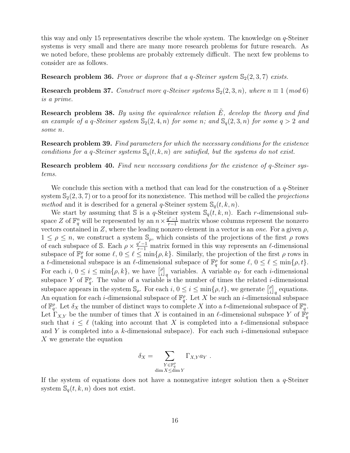this way and only 15 representatives describe the whole system. The knowledge on q-Steiner systems is very small and there are many more research problems for future research. As we noted before, these problems are probably extremely difficult. The next few problems to consider are as follows.

**Research problem 36.** Prove or disprove that a q-Steiner system  $\mathbb{S}_2(2,3,7)$  exists.

**Research problem 37.** Construct more q-Steiner systems  $\mathbb{S}_2(2,3,n)$ , where  $n \equiv 1 \pmod{6}$ is a prime.

**Research problem 38.** By using the equivalence relation  $\hat{E}$ , develop the theory and find an example of a q-Steiner system  $\mathbb{S}_2(2, 4, n)$  for some n; and  $\mathbb{S}_q(2, 3, n)$  for some  $q > 2$  and some n.

Research problem 39. Find parameters for which the necessary conditions for the existence conditions for a q-Steiner systems  $\mathbb{S}_q(t, k, n)$  are satisfied, but the systems do not exist.

Research problem 40. Find new necessary conditions for the existence of q-Steiner systems.

We conclude this section with a method that can lead for the construction of a  $q$ -Steiner system  $\mathbb{S}_2(2,3,7)$  or to a proof for its nonexistence. This method will be called the *projections* method and it is described for a general q-Steiner system  $\mathbb{S}_{q}(t, k, n)$ .

We start by assuming that S is a q-Steiner system  $\mathcal{S}_q(t, k, n)$ . Each r-dimensional subspace Z of  $\mathbb{F}_q^n$  will be represented by an  $n \times \frac{q^r-1}{r-1}$  matrix whose columns represent the nonzero vectors contained in Z, where the leading nonzero element in a vector is an one. For a given  $\rho$ ,  $1 \leq \rho \leq n$ , we construct a system  $\mathbb{S}_{\rho}$ , which consists of the projections of the first  $\rho$  rows of each subspace of S. Each  $\rho \times \frac{q^r-1}{r-1}$  matrix formed in this way represents an  $\ell$ -dimensional subspace of  $\mathbb{F}_q^{\rho}$  for some  $\ell, 0 \leq \ell \leq \min\{\rho, k\}.$  Similarly, the projection of the first  $\rho$  rows in a t-dimensional subspace is an  $\ell$ -dimensional subspace of  $\mathbb{F}_q^{\rho}$  for some  $\ell, 0 \leq \ell \leq \min\{\rho, t\}.$ For each  $i, 0 \leq i \leq \min\{\rho, k\},\$  we have  $\lceil \frac{\rho}{i} \rceil$  $\binom{p}{i}_q$  variables. A variable  $a_Y$  for each *i*-dimensional subspace Y of  $\mathbb{F}_q^{\rho}$ . The value of a variable is the number of times the related *i*-dimensional subspace appears in the system  $\mathbb{S}_{\rho}$ . For each  $i, 0 \leq i \leq \min\{\rho, t\}$ , we generate  $\lceil \frac{\rho}{i} \rceil$  $\begin{bmatrix} \rho \\ i \end{bmatrix}_q$  equations. An equation for each *i*-dimensional subspace of  $\mathbb{F}_q^{\rho}$ . Let X be such an *i*-dimensional subspace of  $\mathbb{F}_q^{\rho}$ . Let  $\delta_X$  the number of distinct ways to complete X into a t-dimensional subspace of  $\mathbb{F}_q^n$ . Let  $\Gamma_{X,Y}$  be the number of times that X is contained in an  $\ell$ -dimensional subspace Y of  $\mathbb{F}_q^{\rho}$ such that  $i \leq \ell$  (taking into account that X is completed into a t-dimensional subspace and Y is completed into a k-dimensional subspace). For each such *i*-dimensional subspace X we generate the equation

$$
\delta_X = \sum_{\substack{Y \in \mathbb{F}_q^{\rho} \\ \dim X \leq \dim Y}} \Gamma_{X,Y} a_Y.
$$

If the system of equations does not have a nonnegative integer solution then a  $q$ -Steiner system  $\mathbb{S}_q(t, k, n)$  does not exist.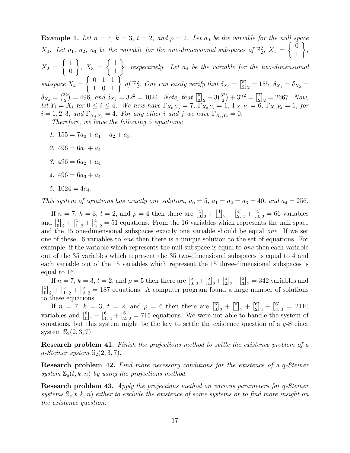**Example 1.** Let  $n = 7$ ,  $k = 3$ ,  $t = 2$ , and  $\rho = 2$ . Let  $a_0$  be the variable for the null space  $X_0$ . Let  $a_1$ ,  $a_2$ ,  $a_3$  be the variable for the one-dimensional subspaces of  $\mathbb{F}_2^2$ ,  $X_1 =$  $\int 0$ 1  $\mathcal{L}$ ,  $X_2 =$  $\int_1$  $\overline{0}$  $\mathcal{L}$ ,  $X_3 =$  $\int_1$ 1  $\mathcal{L}$ , respectively. Let  $a_4$  be the variable for the two-dimensional  $subspace X_4 =$  $\left\{\n\begin{array}{cc}\n0 & 1 & 1 \\
1 & 0 & 1\n\end{array}\n\right\}$  of  $\mathbb{F}_2^2$ . One can easily verify that  $\delta_{X_0} = \begin{bmatrix} 5 \\ 2 \end{bmatrix}$  $\left[\frac{5}{2}\right]_2 = 155, \ \delta_{X_1} = \delta_{X_2} =$  $\delta_{X_3} = \binom{32}{2}$  $\binom{32}{2} = 496$ , and  $\delta_{X_4} = 32^2 = 1024$ . Note, that  $\binom{5}{2}$  $\frac{5}{2}$ <sub>2</sub> + 3 $\binom{32}{2}$  $\binom{32}{2} + 32^2 = \binom{7}{2}$  $\begin{bmatrix} 7 \\ 2 \end{bmatrix}$  = 2667. Now, let  $Y_i = X_i$  for  $0 \le i \le 4$ . We now have  $\Gamma_{X_0,Y_0} = 7$ ,  $\Gamma_{X_0,Y_i} = 1$ ,  $\Gamma_{X_i,Y_i} = 6$ ,  $\Gamma_{X_i,Y_4} = 1$ , for  $i = 1, 2, 3, \text{ and } \Gamma_{X_4,Y_4} = 4. \text{ For any other } i \text{ and } j \text{ we have } \Gamma_{X_i,Y_i} = 0.$ Therefore, we have the following 5 equations:

- 1.  $155 = 7a_0 + a_1 + a_2 + a_3$ .
- 2.  $496 = 6a_1 + a_4$ .
- 3.  $496 = 6a_2 + a_4$ .
- 4.  $496 = 6a_3 + a_4$ .
- 5.  $1024 = 4a_4$ .

This system of equations has exactly one solution,  $a_0 = 5$ ,  $a_1 = a_2 = a_3 = 40$ , and  $a_4 = 256$ .

If  $n = 7$ ,  $k = 3$ ,  $t = 2$ , and  $\rho = 4$  then there are  $\begin{bmatrix} 4 \\ 0 \end{bmatrix}$  $\binom{4}{0}$ <sub>2</sub> +  $\binom{4}{1}$  $\begin{bmatrix} 4 \\ 1 \end{bmatrix}$ <sub>2</sub> +  $\begin{bmatrix} 4 \\ 2 \end{bmatrix}$  $\binom{4}{2}$ <sub>2</sub> +  $\binom{4}{3}$  $\binom{4}{3}_2 = 66$  variables and  $\begin{bmatrix} 4 \\ 0 \end{bmatrix}$  $\begin{bmatrix} 4 \\ 0 \end{bmatrix}$ <sub>2</sub> +  $\begin{bmatrix} 4 \\ 1 \end{bmatrix}$  $\begin{bmatrix} 4 \\ 1 \end{bmatrix}$ <sub>2</sub> +  $\begin{bmatrix} 4 \\ 2 \end{bmatrix}$  $2\binom{4}{2}$  = 51 equations. From the 16 variables which represents the null space and the 15 one-dimensional subspaces exactly one variable should be equal one. If we set one of these 16 variables to one then there is a unique solution to the set of equations. For example, if the variable which represents the null subspace is equal to *one* then each variable out of the 35 variables which represent the 35 two-dimensional subspaces is equal to 4 and each variable out of the 15 variables which represent the 15 three-dimensional subspaces is equal to 16.

If  $n = 7, k = 3, t = 2, \text{ and } \rho = 5 \text{ then there are } \begin{bmatrix} 5 \\ 0 \end{bmatrix}$  $\begin{bmatrix} 5 \\ 0 \end{bmatrix}$ <sub>2</sub> +  $\begin{bmatrix} 5 \\ 1 \end{bmatrix}$  $\begin{bmatrix} 5 \\ 1 \end{bmatrix}$ <sub>2</sub> +  $\begin{bmatrix} 5 \\ 2 \end{bmatrix}$  $\begin{bmatrix} 5 \\ 2 \end{bmatrix}$ <sub>2</sub> +  $\begin{bmatrix} 5 \\ 3 \end{bmatrix}$  $\binom{5}{3}_2 = 342$  variables and  $\begin{bmatrix} 5 \\ 0 \end{bmatrix}$  $\begin{bmatrix} 5 \\ 0 \end{bmatrix}$ <sub>2</sub> +  $\begin{bmatrix} 5 \\ 1 \end{bmatrix}$  $\begin{bmatrix} 5 \\ 1 \end{bmatrix}$ <sub>2</sub> +  $\begin{bmatrix} 5 \\ 2 \end{bmatrix}$  $2\binom{5}{2}$  = 187 equations. A computer program found a large number of solutions to these equations.

If  $n = 7, k = 3, t = 2,$  and  $\rho = 6$  then there are  $\begin{bmatrix} 6 \\ 0 \end{bmatrix}$  $\binom{6}{0}$ <sub>2</sub> +  $\binom{6}{1}$  $\binom{6}{1}$ <sub>2</sub> +  $\binom{6}{2}$  $\binom{6}{2}_2 + \binom{6}{3}$  $\binom{6}{3}_2 = 2110$ variables and  $\begin{bmatrix} 6 \\ 0 \end{bmatrix}$  $\binom{6}{0}$ <sub>2</sub> +  $\binom{6}{1}$  $\binom{6}{1}$ <sub>2</sub> +  $\binom{6}{2}$  $2_{22}^{6}$  = 715 equations. We were not able to handle the system of equations, but this system might be the key to settle the existence question of a  $q$ -Steiner system  $\mathbb{S}_2(2,3,7)$ .

Research problem 41. Finish the projections method to settle the existence problem of a q-Steiner system  $\mathbb{S}_2(2,3,7)$ .

Research problem 42. Find more necessary conditions for the existence of a q-Steiner system  $\mathbb{S}_q(t, k, n)$  by using the projections method.

Research problem 43. Apply the projections method on various parameters for q-Steiner systems  $\mathbb{S}_{q}(t, k, n)$  either to exclude the existence of some systems or to find more insight on the existence question.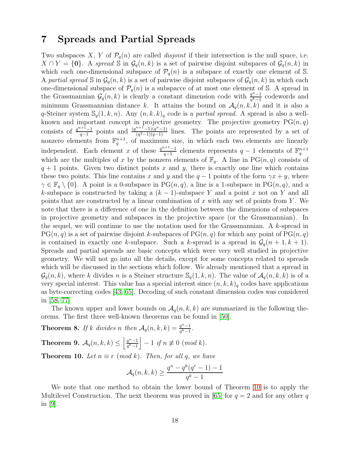## <span id="page-17-0"></span>7 Spreads and Partial Spreads

Two subspaces X, Y of  $\mathcal{P}_q(n)$  are called *disjoint* if their intersection is the null space, i.e.  $X \cap Y = \{0\}$ . A spread S in  $\mathcal{G}_q(n, k)$  is a set of pairwise disjoint subspaces of  $\mathcal{G}_q(n, k)$  in which each one-dimensional subspace of  $P_q(n)$  is a subspace of exactly one element of S. A partial spread S in  $\mathcal{G}_q(n,k)$  is a set of pairwise disjoint subspaces of  $\mathcal{G}_q(n,k)$  in which each one-dimensional subspace of  $\mathcal{P}_q(n)$  is a subspacce of at most one element of S. A spread in the Grassmannian  $\mathcal{G}_q(n,k)$  is clearly a constant dimension code with  $\frac{q^{n-1}}{q^{k-1}}$  $\frac{q^n-1}{q^k-1}$  codewords and minimum Grassmannian distance k. It attains the bound on  $A_q(n, k, k)$  and it is also a q-Steiner system  $\mathbb{S}_q(1,k,n)$ . Any  $(n, k, k)_q$  code is a partial spread. A spread is also a wellknown and important concept in projective geometry. The projective geometry  $PG(n, q)$ consists of  $\frac{q^{n+1}-1}{q-1}$  $\frac{q^{n+1}-1}{q-1}$  points and  $\frac{(q^{n+1}-1)(q^n-1)}{(q^2-1)(q-1)}$  $\frac{(q^{2}-1)(q^{2}-1)}{(q^{2}-1)(q-1)}$  lines. The points are represented by a set of nonzero elements from  $\mathbb{F}_q^{n+1}$ , of maximum size, in which each two elements are linearly independent. Each element x of these  $\frac{q^{n+1}-1}{q-1}$  $q-1$  elements represents  $q-1$  elements of  $\mathbb{F}_q^{n+1}$ which are the multiples of x by the nonzero elements of  $\mathbb{F}_q$ . A line in PG $(n, q)$  consists of  $q + 1$  points. Given two distinct points x and y, there is exactly one line which contains these two points. This line contains x and y and the  $q-1$  points of the form  $\gamma x + y$ , where  $\gamma \in \mathbb{F}_q \setminus \{0\}$ . A point is a 0-subspace in PG $(n, q)$ , a line is a 1-subspace in PG $(n, q)$ , and a k-subspace is constructed by taking a  $(k-1)$ -subspace Y and a point x not on Y and all points that are constructed by a linear combination of x with any set of points from Y. We note that there is a difference of one in the definition between the dimensions of subspaces in projective geometry and subspaces in the projective space (or the Grassmannian). In the sequel, we will continue to use the notation used for the Grassmannian. A  $k$ -spread in  $PG(n, q)$  is a set of pairwise disjoint k-subspaces of  $PG(n, q)$  for which any point of  $PG(n, q)$ is contained in exactly one k-subspace. Such a k-spread is a spread in  $\mathcal{G}_q(n+1, k+1)$ . Spreads and partial spreads are basic concepts which were very well studied in projective geometry. We will not go into all the details, except for some concepts related to spreads which will be discussed in the sections which follow. We already mentioned that a spread in  $\mathcal{G}_q(n, k)$ , where k divides n is a Steiner structure  $\mathcal{S}_q(1, k, n)$ . The value of  $\mathcal{A}_q(n, k, k)$  is of a very special interest. This value has a special interest since  $(n, k, k)_q$  codes have applications as byte-correcting codes [\[43,](#page-32-10) [65\]](#page-33-9). Decoding of such constant dimension codes was considered in [\[58,](#page-33-10) [77\]](#page-34-5)

The known upper and lower bounds on  $\mathcal{A}_q(n, k, k)$  are summarized in the following theorems. The first three well-known theorems can be found in [\[50\]](#page-32-3).

<span id="page-17-1"></span>**Theorem 8.** If k divides n then  $A_q(n, k, k) = \frac{q^n - 1}{q^k - 1}$  $\frac{q^n-1}{q^k-1}$ .

<span id="page-17-3"></span><span id="page-17-2"></span>Theorem 9.  $\mathcal{A}_q(n,k,k) \leq \left\lfloor \frac{q^n-1}{q^k-1} \right\rfloor$  $\left. \frac{q^n-1}{q^k-1} \right| - 1$  if  $n \not\equiv 0 \pmod{k}$ . **Theorem 10.** Let  $n \equiv r \pmod{k}$ . Then, for all q, we have

$$
\mathcal{A}_q(n,k,k) \ge \frac{q^n - q^k(q^r - 1) - 1}{q^k - 1}
$$

We note that one method to obtain the lower bound of Theorem [10](#page-17-3) is to apply the Multilevel Construction. The next theorem was proved in [\[65\]](#page-33-9) for  $q = 2$  and for any other q in  $|9|$ .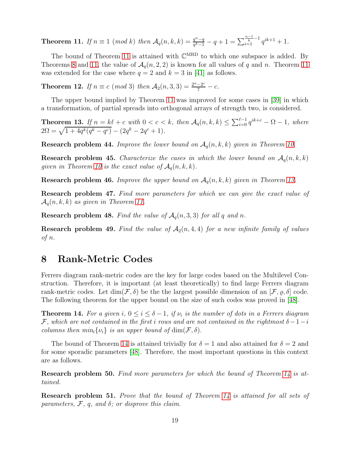<span id="page-18-1"></span>**Theorem 11.** If  $n \equiv 1 \pmod{k}$  then  $\mathcal{A}_q(n, k, k) = \frac{q^n - q}{q^k - 1}$  $\frac{q^n-q}{q^k-1}-q+1=\sum_{i=1}^{\frac{n-1}{k}-1}q^{ik+1}+1.$ 

The bound of Theorem [11](#page-18-1) is attained with  $\mathbb{C}^{MRD}$  to which one subspace is added. By Theorems [8](#page-17-1) and [11,](#page-18-1) the value of  $\mathcal{A}_q(n, 2, 2)$  is known for all values of q and n. Theorem [11](#page-18-1) was extended for the case where  $q = 2$  and  $k = 3$  in [\[41\]](#page-32-7) as follows.

**Theorem 12.** If  $n \equiv c \pmod{3}$  then  $A_2(n, 3, 3) = \frac{2^n - 2^c}{7} - c$ .

The upper bound implied by Theorem [11](#page-18-1) was improved for some cases in [\[39\]](#page-31-10) in which a transformation, of partial spreads into orthogonal arrays of strength two, is considered.

<span id="page-18-2"></span>**Theorem 13.** If  $n = k\ell + c$  with  $0 < c < k$ , then  $\mathcal{A}_q(n, k, k) \leq \sum_{i=0}^{\ell-1} q^{ik+c} - \Omega - 1$ , where  $2\Omega = \sqrt{1 + 4q^k(q^k - q^c)} - (2q^k - 2q^c + 1).$ 

**Research problem 44.** Improve the lower bound on  $A_q(n, k, k)$  given in Theorem [10.](#page-17-3)

**Research problem 45.** Characterize the cases in which the lower bound on  $A_q(n, k, k)$ given in Theorem [10](#page-17-3) is the exact value of  $A_q(n, k, k)$ .

**Research problem 46.** Improve the upper bound on  $A_q(n, k, k)$  given in Theorem [13.](#page-18-2)

Research problem 47. Find more parameters for which we can give the exact value of  $\mathcal{A}_q(n, k, k)$  as given in Theorem [11.](#page-18-1)

**Research problem 48.** Find the value of  $A_q(n, 3, 3)$  for all q and n.

**Research problem 49.** Find the value of  $A_2(n,4,4)$  for a new infinite family of values of n.

## <span id="page-18-0"></span>8 Rank-Metric Codes

Ferrers diagram rank-metric codes are the key for large codes based on the Multilevel Construction. Therefore, it is important (at least theoretically) to find large Ferrers diagram rank-metric codes. Let  $\dim(\mathcal{F}, \delta)$  be the the largest possible dimension of an  $[\mathcal{F}, \varrho, \delta]$  code. The following theorem for the upper bound on the size of such codes was proved in [\[48\]](#page-32-5).

<span id="page-18-3"></span>**Theorem 14.** For a given i,  $0 \le i \le \delta - 1$ , if  $\nu_i$  is the number of dots in a Ferrers diagram F, which are not contained in the first i rows and are not contained in the rightmost  $\delta-1-i$ columns then  $min_i \{v_i\}$  is an upper bound of  $dim(\mathcal{F}, \delta)$ .

The bound of Theorem [14](#page-18-3) is attained trivially for  $\delta = 1$  and also attained for  $\delta = 2$  and for some sporadic parameters [\[48\]](#page-32-5). Therefore, the most important questions in this context are as follows.

Research problem 50. Find more parameters for which the bound of Theorem [14](#page-18-3) is attained.

Research problem 51. Prove that the bound of Theorem [14](#page-18-3) is attained for all sets of parameters,  $F$ ,  $q$ , and  $\delta$ ; or disprove this claim.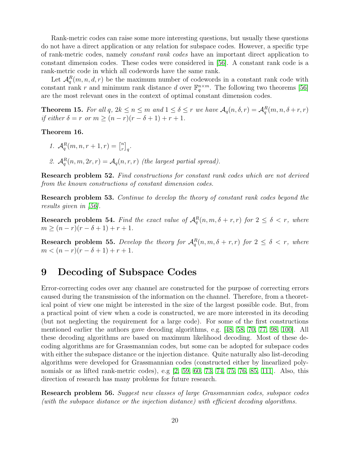Rank-metric codes can raise some more interesting questions, but usually these questions do not have a direct application or any relation for subspace codes. However, a specific type of rank-metric codes, namely constant rank codes have an important direct application to constant dimension codes. These codes were considered in [\[56\]](#page-32-11). A constant rank code is a rank-metric code in which all codewords have the same rank.

Let  $\mathcal{A}_q^R(m,n,d,r)$  be the maximum number of codewords in a constant rank code with constant rank r and minimum rank distance d over  $\mathbb{F}_q^{n \times m}$ . The following two theorems [\[56\]](#page-32-11) are the most relevant ones in the context of optimal constant dimension codes.

**Theorem 15.** For all  $q, 2k \leq n \leq m$  and  $1 \leq \delta \leq r$  we have  $\mathcal{A}_q(n, \delta, r) = \mathcal{A}_q^R(m, n, \delta + r, r)$ if either  $\delta = r$  or  $m \ge (n - r)(r - \delta + 1) + r + 1$ .

Theorem 16.

$$
\mathit{1. } \mathcal{A}_q^R(m,n,r+1,r) = \begin{bmatrix} n \\ r \end{bmatrix}_q.
$$

2.  $\mathcal{A}_q^R(n,m,2r,r) = \mathcal{A}_q(n,r,r)$  (the largest partial spread).

Research problem 52. Find constructions for constant rank codes which are not derived from the known constructions of constant dimension codes.

Research problem 53. Continue to develop the theory of constant rank codes beyond the results given in [\[56\]](#page-32-11).

**Research problem 54.** Find the exact value of  $\mathcal{A}_q^R(n,m,\delta+r,r)$  for  $2 \leq \delta < r$ , where  $m \ge (n - r)(r - \delta + 1) + r + 1.$ 

**Research problem 55.** Develop the theory for  $A_q^R(n,m,\delta+r,r)$  for  $2 \leq \delta < r$ , where  $m < (n - r)(r - \delta + 1) + r + 1.$ 

# <span id="page-19-0"></span>9 Decoding of Subspace Codes

Error-correcting codes over any channel are constructed for the purpose of correcting errors caused during the transmission of the information on the channel. Therefore, from a theoretical point of view one might be interested in the size of the largest possible code. But, from a practical point of view when a code is constructed, we are more interested in its decoding (but not neglecting the requirement for a large code). For some of the first constructions mentioned earlier the authors gave decoding algorithms, e.g. [\[48,](#page-32-5) [58,](#page-33-10) [70,](#page-33-0) [77,](#page-34-5) [98,](#page-35-1) [100\]](#page-35-2). All these decoding algorithms are based on maximum likelihood decoding. Most of these decoding algorithms are for Grassmannian codes, but some can be adopted for subspace codes with either the subspace distance or the injection distance. Quite naturally also list-decoding algorithms were developed for Grassmannian codes (constructed either by linearlized polynomials or as lifted rank-metric codes), e.g  $[2, 59, 60, 73, 74, 75, 76, 85, 111]$  $[2, 59, 60, 73, 74, 75, 76, 85, 111]$  $[2, 59, 60, 73, 74, 75, 76, 85, 111]$  $[2, 59, 60, 73, 74, 75, 76, 85, 111]$  $[2, 59, 60, 73, 74, 75, 76, 85, 111]$  $[2, 59, 60, 73, 74, 75, 76, 85, 111]$  $[2, 59, 60, 73, 74, 75, 76, 85, 111]$  $[2, 59, 60, 73, 74, 75, 76, 85, 111]$  $[2, 59, 60, 73, 74, 75, 76, 85, 111]$ . Also, this direction of research has many problems for future research.

Research problem 56. Suggest new classes of large Grassmannian codes, subspace codes (with the subspace distance or the injection distance) with efficient decoding algorithms.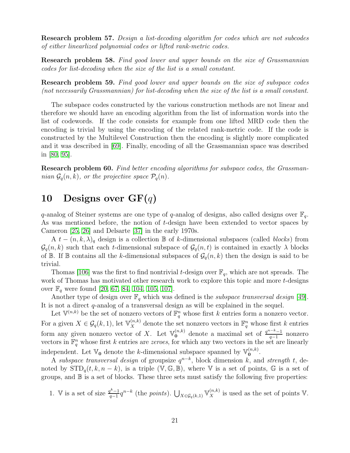Research problem 57. Design a list-decoding algorithm for codes which are not subcodes of either linearlized polynomial codes or lifted rank-metric codes.

Research problem 58. Find good lower and upper bounds on the size of Grassmannian codes for list-decoding when the size of the list is a small constant.

Research problem 59. Find good lower and upper bounds on the size of subspace codes (not necessarily Grassmannian) for list-decoding when the size of the list is a small constant.

The subspace codes constructed by the various construction methods are not linear and therefore we should have an encoding algorithm from the list of information words into the list of codewords. If the code consists for example from one lifted MRD code then the encoding is trivial by using the encoding of the related rank-metric code. If the code is constructed by the Multilevel Construction then the encoding is slightly more complicated and it was described in [\[69\]](#page-33-14). Finally, encoding of all the Grassmannian space was described in [\[80,](#page-34-10) [95\]](#page-35-13).

Research problem 60. Find better encoding algorithms for subspace codes, the Grassmannian  $\mathcal{G}_q(n, k)$ , or the projective space  $\mathcal{P}_q(n)$ .

# <span id="page-20-0"></span>10 Designs over  $GF(q)$

q-analog of Steiner systems are one type of q-analog of designs, also called designs over  $\mathbb{F}_q$ . As was mentioned before, the notion of t-design have been extended to vector spaces by Cameron [\[25,](#page-31-7) [26\]](#page-31-8) and Delsarte [\[37\]](#page-31-9) in the early 1970s.

A  $t - (n, k, \lambda)_q$  design is a collection B of k-dimensional subspaces (called *blocks*) from  $\mathcal{G}_q(n, k)$  such that each t-dimensional subspace of  $\mathcal{G}_q(n, t)$  is contained in exactly  $\lambda$  blocks of  $\mathbb B$ . If  $\mathbb B$  contains all the k-dimensional subspaces of  $\mathcal G_q(n,k)$  then the design is said to be trivial.

Thomas [\[106\]](#page-35-14) was the first to find nontrivial t-design over  $\mathbb{F}_q$ , which are not spreads. The work of Thomas has motivated other research work to explore this topic and more t-designs over  $\mathbb{F}_q$  were found [\[20,](#page-30-6) [67,](#page-33-15) [84,](#page-34-11) [104,](#page-35-15) [105,](#page-35-16) [107\]](#page-35-12).

Another type of design over  $\mathbb{F}_q$  which was defined is the *subspace transversal design* [\[49\]](#page-32-6). It is not a direct q-analog of a transversal design as will be explained in the sequel.

Let  $\mathbb{V}^{(n,k)}$  be the set of nonzero vectors of  $\mathbb{F}_q^n$  whose first k entries form a nonzero vector. For a given  $X \in \mathcal{G}_q(k,1)$ , let  $\mathbb{V}_X^{(n,k)}$  denote the set nonzero vectors in  $\mathbb{F}_q^n$  whose first k entries form any given nonzero vector of X. Let  $\mathbb{V}_{0}^{(n,k)}$  denote a maximal set of  $\frac{q^{n-k}-1}{q-1}$  $\frac{n-1}{q-1}$  nonzero vectors in  $\mathbb{F}_q^n$  whose first k entries are *zeroes*, for which any two vectors in the set are linearly independent. Let  $\mathbb{V}_0$  denote the k-dimensional subspace spanned by  $\mathbb{V}_0^{(n,k)}$ .

A subspace transversal design of groupsize  $q^{n-k}$ , block dimension k, and strength t, denoted by  $\text{STD}_q(t, k, n - k)$ , is a triple  $(\mathbb{V}, \mathbb{G}, \mathbb{B})$ , where  $\mathbb{V}$  is a set of points,  $\mathbb{G}$  is a set of groups, and  $\mathbb B$  is a set of blocks. These three sets must satisfy the following five properties:

1. V is a set of size 
$$
\frac{q^k-1}{q-1}q^{n-k}
$$
 (the *points*).  $\bigcup_{X \in \mathcal{G}_q(k,1)} \mathbb{V}_X^{(n,k)}$  is used as the set of points V.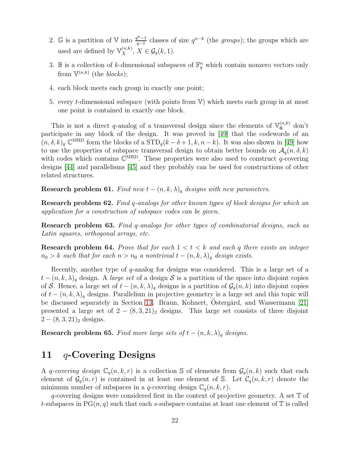- 2. G is a partition of V into  $\frac{q^k-1}{q-1}$  $q_{q-1}^{k-1}$  classes of size  $q^{n-k}$  (the *groups*); the groups which are used are defined by  $\mathbb{V}_X^{(n,k)}$ ,  $X \in \mathcal{G}_q(k,1)$ .
- 3. B is a collection of k-dimensional subspaces of  $\mathbb{F}_q^n$  which contain nonzero vectors only from  $\mathbb{V}^{(n,k)}$  (the blocks);
- 4. each block meets each group in exactly one point;
- 5. every t-dimensional subspace (with points from  $V$ ) which meets each group in at most one point is contained in exactly one block.

This is not a direct q-analog of a transversal design since the elements of  $\mathbb{V}_0^{(n,k)}$  don't participate in any block of the design. It was proved in [\[49\]](#page-32-6) that the codewords of an  $(n, \delta, k)_q \mathbb{C}^{MRD}$  form the blocks of a  $\text{STD}_q(k-\delta+1, k, n-k)$ . It was also shown in [\[49\]](#page-32-6) how to use the properties of subspace transversal design to obtain better bounds on  $\mathcal{A}_q(n, \delta, k)$ with codes which contains  $\mathbb{C}^{MRD}$ . These properties were also used to construct q-covering designs [\[44\]](#page-32-12) and parallelisms [\[45\]](#page-32-13) and they probably can be used for constructions of other related structures.

Research problem 61. Find new  $t - (n, k, \lambda)_q$  designs with new parameters.

Research problem 62. Find q-analogs for other known types of block designs for which an application for a construction of subspace codes can be given.

Research problem 63. Find q-analogs for other types of combinatorial designs, such as Latin squares, orthogonal arrays, etc.

**Research problem 64.** Prove that for each  $1 < t < k$  and each q there exists an integer  $n_0 > k$  such that for each  $n > n_0$  a nontrivial  $t - (n, k, \lambda)_q$  design exists.

Recently, another type of  $q$ -analog for designs was considered. This is a large set of a  $t - (n, k, \lambda)_q$  design. A large set of a design S is a partition of the space into disjoint copies of S. Hence, a large set of  $t - (n, k, \lambda)_q$  designs is a partition of  $\mathcal{G}_q(n, k)$  into disjoint copies of  $t - (n, k, \lambda)_q$  designs. Parallelism in projective geometry is a large set and this topic will be discussed separately in Section [13.](#page-26-0) Braun, Kohnert, Ostergård, and Wassermann [\[21\]](#page-30-7) presented a large set of  $2 - (8, 3, 21)_2$  designs. This large set consists of three disjoint  $2 - (8, 3, 21)_2$  designs.

Research problem 65. Find more large sets of  $t - (n, k, \lambda)_q$  designs.

## <span id="page-21-0"></span>11 q-Covering Designs

A q-covering design  $\mathbb{C}_q(n, k, r)$  is a collection S of elements from  $\mathcal{G}_q(n, k)$  such that each element of  $\mathcal{G}_q(n,r)$  is contained in at least one element of S. Let  $\mathcal{C}_q(n,k,r)$  denote the minimum number of subspaces in a q-covering design  $\mathbb{C}_q(n, k, r)$ .

q-covering designs were considered first in the context of projective geometry. A set  $\mathbb T$  of t-subspaces in  $PG(n, q)$  such that each s-subspace contains at least one element of  $\mathbb T$  is called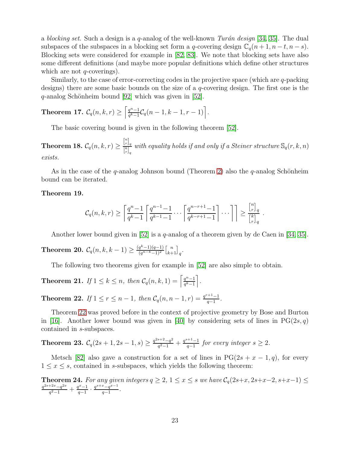a blocking set. Such a design is a q-analog of the well-known Turán design [\[34,](#page-31-11) [35\]](#page-31-12). The dual subspaces of the subspaces in a blocking set form a q-covering design  $\mathbb{C}_q(n+1, n-t, n-s)$ . Blocking sets were considered for example in [\[82,](#page-34-12) [83\]](#page-34-13). We note that blocking sets have also some different definitions (and maybe more popular definitions which define other structures which are not  $q$ -coverings).

Similarly, to the case of error-correcting codes in the projective space (which are q-packing designs) there are some basic bounds on the size of a q-covering design. The first one is the  $q$ -analog Schönheim bound [\[92\]](#page-35-17) which was given in [\[52\]](#page-32-9).

**Theorem 17.** 
$$
C_q(n, k, r) \geq \left[ \frac{q^n - 1}{q^k - 1} C_q(n - 1, k - 1, r - 1) \right].
$$

The basic covering bound is given in the following theorem [\[52\]](#page-32-9).

Theorem 18.  $\mathcal{C}_q(n, k, r) \geq 0$  $\frac{{n \brack r}_q}{{n \brack r}_q}$  with equality holds if and only if a Steiner structure  $\mathbb{S}_q(r,k,n)$ exists.

As in the case of the q-analog Johnson bound (Theorem [2\)](#page-3-2) also the q-analog Schönheim bound can be iterated.

#### Theorem 19.

$$
\mathcal{C}_q(n,k,r) \geq \left\lceil \frac{q^n-1}{q^k-1} \left\lceil \frac{q^{n-1}-1}{q^{k-1}-1} \cdots \left\lceil \frac{q^{n-r+1}-1}{q^{k-r+1}-1} \right\rceil \cdots \right\rceil \right\rceil \geq \frac{\binom{n}{r}_q}{\binom{k}{r}_q}.
$$

Another lower bound given in [\[52\]](#page-32-9) is a q-analog of a theorem given by de Caen in [\[34,](#page-31-11) [35\]](#page-31-12).

**Theorem 20.**  $C_q(n, k, k-1) \geq \frac{(q^k-1)(q-1)}{(q^{n-k}-1)^2}$  $\frac{q^k-1)(q-1)}{(q^{n-k}-1)^2}$  $\begin{bmatrix} n \\ k+1 \end{bmatrix}_q$ .

The following two theorems given for example in [\[52\]](#page-32-9) are also simple to obtain.

<span id="page-22-1"></span>**Theorem 21.** If  $1 \leq k \leq n$ , then  $\mathcal{C}_q(n, k, 1) = \left[\frac{q^n - 1}{q^k - 1}\right]$  $\frac{q^n-1}{q^k-1}$ .

<span id="page-22-0"></span>**Theorem 22.** If  $1 \le r \le n-1$ , then  $C_q(n, n-1, r) = \frac{q^{r+1}-1}{q-1}$  $\frac{1}{q-1}$ .

Theorem [22](#page-22-0) was proved before in the context of projective geometry by Bose and Burton in [\[16\]](#page-30-8). Another lower bound was given in [\[40\]](#page-31-13) by considering sets of lines in  $PG(2s, q)$ contained in s-subspaces.

**Theorem 23.** 
$$
C_q(2s+1, 2s-1, s) \ge \frac{q^{2s+2}-q^2}{q^2-1} + \frac{q^{s+1}-1}{q-1}
$$
 for every integer  $s \ge 2$ .

Metsch [\[82\]](#page-34-12) also gave a construction for a set of lines in  $PG(2s + x - 1, q)$ , for every  $1 \leq x \leq s$ , contained in s-subspaces, which yields the following theorem:

**Theorem 24.** For any given integers  $q \geq 2$ ,  $1 \leq x \leq s$  we have  $\mathcal{C}_q(2s+x, 2s+x-2, s+x-1) \leq$  $q^{2s+2x}-q^{2x}$  $\frac{q^{2}+2x-q^{2x}}{q^{2}-1}+\frac{q^{x}-1}{q-1}$  $\frac{q^x-1}{q-1} \cdot \frac{q^{s+x}-q^{x-1}}{q-1}$  $\frac{a^x-q^{x-1}}{q-1}$ .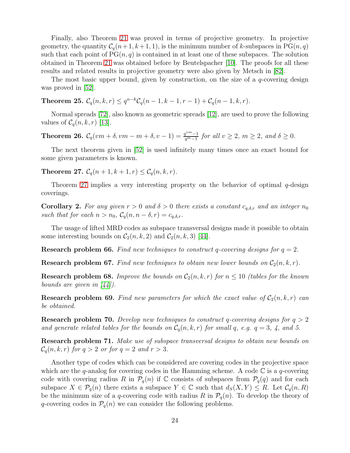Finally, also Theorem [21](#page-22-1) was proved in terms of projective geometry. In projective geometry, the quantity  $C_q(n+1, k+1, 1)$ , is the minimum number of k-subspaces in PG $(n, q)$ such that each point of  $PG(n, q)$  is contained in at least one of these subspaces. The solution obtained in Theorem [21](#page-22-1) was obtained before by Beutelspacher [\[10\]](#page-30-9). The proofs for all these results and related results in projective geometry were also given by Metsch in [\[82\]](#page-34-12).

The most basic upper bound, given by construction, on the size of a  $q$ -covering design was proved in [\[52\]](#page-32-9).

**Theorem 25.**  $C_q(n, k, r) \le q^{n-k}C_q(n-1, k-1, r-1) + C_q(n-1, k, r)$ .

Normal spreads [\[72\]](#page-33-16), also known as geometric spreads [\[12\]](#page-30-10), are used to prove the following values of  $C_q(n, k, r)$  [\[13\]](#page-30-11).

**Theorem 26.**  $C_q(vm + \delta, vm - m + \delta, v - 1) = \frac{q^{vm} - 1}{q^m - 1}$  $\frac{q^{m}-1}{q^m-1}$  for all  $v \geq 2$ ,  $m \geq 2$ , and  $\delta \geq 0$ .

The next theorem given in [\[52\]](#page-32-9) is used infinitely many times once an exact bound for some given parameters is known.

<span id="page-23-0"></span>**Theorem 27.**  $C_q(n + 1, k + 1, r) \le C_q(n, k, r)$ .

Theorem [27](#page-23-0) implies a very interesting property on the behavior of optimal  $q$ -design coverings.

**Corollary 2.** For any given  $r > 0$  and  $\delta > 0$  there exists a constant  $c_{q,\delta,r}$  and an integer  $n_0$ such that for each  $n > n_0$ ,  $C_q(n, n - \delta, r) = c_{q,\delta,r}$ .

The usage of lifted MRD codes as subspace transversal designs made it possible to obtain some interesting bounds on  $C_2(n, k, 2)$  and  $C_2(n, k, 3)$  [\[44\]](#page-32-12).

**Research problem 66.** Find new techniques to construct q-covering designs for  $q = 2$ .

**Research problem 67.** Find new techniques to obtain new lower bounds on  $C_2(n, k, r)$ .

**Research problem 68.** Improve the bounds on  $C_2(n, k, r)$  for  $n \leq 10$  (tables for the known bounds are given in  $\vert 44 \vert$ ).

**Research problem 69.** Find new parameters for which the exact value of  $C_2(n, k, r)$  can be obtained.

**Research problem 70.** Develop new techniques to construct q-covering designs for  $q > 2$ and generate related tables for the bounds on  $C_q(n, k, r)$  for small q, e.g.  $q = 3$ , 4, and 5.

Research problem 71. Make use of subspace transversal designs to obtain new bounds on  $C_q(n, k, r)$  for  $q > 2$  or for  $q = 2$  and  $r > 3$ .

Another type of codes which can be considered are covering codes in the projective space which are the q-analog for covering codes in the Hamming scheme. A code  $\mathbb C$  is a q-covering code with covering radius R in  $\mathcal{P}_q(n)$  if C consists of subspaces from  $\mathcal{P}_q(q)$  and for each subspace  $X \in \mathcal{P}_q(n)$  there exists a subspace  $Y \in \mathbb{C}$  such that  $d_S(X, Y) \leq R$ . Let  $\mathcal{C}_q(n, R)$ be the minimum size of a q-covering code with radius R in  $P_q(n)$ . To develop the theory of q-covering codes in  $\mathcal{P}_q(n)$  we can consider the following problems.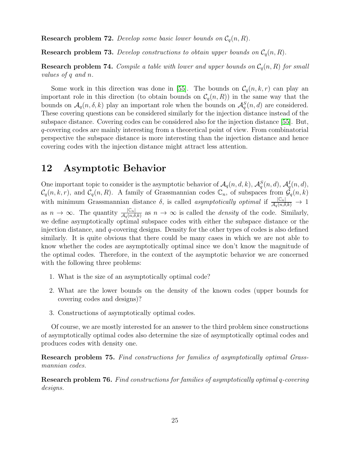**Research problem 72.** Develop some basic lower bounds on  $C_q(n, R)$ .

**Research problem 73.** Develop constructions to obtain upper bounds on  $C_q(n, R)$ .

**Research problem 74.** Compile a table with lower and upper bounds on  $C_q(n, R)$  for small values of q and n.

Some work in this direction was done in [\[55\]](#page-32-8). The bounds on  $C_q(n, k, r)$  can play an important role in this direction (to obtain bounds on  $\mathcal{C}_q(n, R)$ ) in the same way that the bounds on  $A_q(n, \delta, k)$  play an important role when the bounds on  $A_q^S(n, d)$  are considered. These covering questions can be considered similarly for the injection distance instead of the subspace distance. Covering codes can be considered also for the injection distance [\[55\]](#page-32-8). But, q-covering codes are mainly interesting from a theoretical point of view. From combinatorial perspective the subspace distance is more interesting than the injection distance and hence covering codes with the injection distance might attract less attention.

## <span id="page-24-0"></span>12 Asymptotic Behavior

One important topic to consider is the asymptotic behavior of  $\mathcal{A}_q(n, d, k)$ ,  $\mathcal{A}_q^S(n, d)$ ,  $\mathcal{A}_q^I(n, d)$ ,  $C_q(n, k, r)$ , and  $C_q(n, R)$ . A family of Grassmannian codes  $\mathbb{C}_n$ , of subspaces from  $\mathcal{G}_q(n, k)$ with minimum Grassmannian distance  $\delta$ , is called *asymptotically optimal* if  $\frac{|C_n|}{\mathcal{A}_q(n,\delta,k)} \to 1$ as  $n \to \infty$ . The quantity  $\frac{|C_n|}{\mathcal{A}_q(n,\delta,k)}$  as  $n \to \infty$  is called the *density* of the code. Similarly, we define asymptotically optimal subspace codes with either the subspace distance or the injection distance, and q-covering designs. Density for the other types of codes is also defined similarly. It is quite obvious that there could be many cases in which we are not able to know whether the codes are asymptotically optimal since we don't know the magnitude of the optimal codes. Therefore, in the context of the asymptotic behavior we are concerned with the following three problems:

- 1. What is the size of an asymptotically optimal code?
- 2. What are the lower bounds on the density of the known codes (upper bounds for covering codes and designs)?
- 3. Constructions of asymptotically optimal codes.

Of course, we are mostly interested for an answer to the third problem since constructions of asymptotically optimal codes also determine the size of asymptotically optimal codes and produces codes with density one.

Research problem 75. Find constructions for families of asymptotically optimal Grassmannian codes.

Research problem 76. Find constructions for families of asymptotically optimal q-covering designs.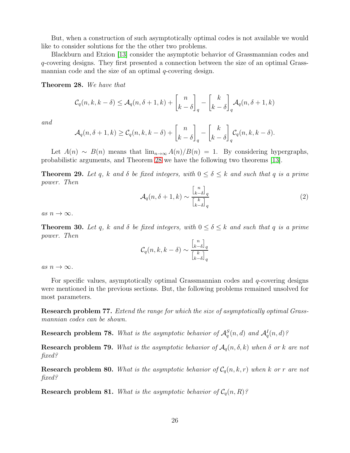But, when a construction of such asymptotically optimal codes is not available we would like to consider solutions for the the other two problems.

Blackburn and Etzion [\[13\]](#page-30-11) consider the asymptotic behavior of Grassmannian codes and q-covering designs. They first presented a connection between the size of an optimal Grassmannian code and the size of an optimal  $q$ -covering design.

<span id="page-25-0"></span>Theorem 28. We have that

$$
C_q(n, k, k - \delta) \le \mathcal{A}_q(n, \delta + 1, k) + \begin{bmatrix} n \\ k - \delta \end{bmatrix}_q - \begin{bmatrix} k \\ k - \delta \end{bmatrix}_q \mathcal{A}_q(n, \delta + 1, k)
$$

and

$$
\mathcal{A}_q(n,\delta+1,k) \geq \mathcal{C}_q(n,k,k-\delta) + \begin{bmatrix} n \\ k-\delta \end{bmatrix}_q - \begin{bmatrix} k \\ k-\delta \end{bmatrix}_q \mathcal{C}_q(n,k,k-\delta).
$$

Let  $A(n) \sim B(n)$  means that  $\lim_{n\to\infty} A(n)/B(n) = 1$ . By considering hypergraphs, probabilistic arguments, and Theorem [28](#page-25-0) we have the following two theorems [\[13\]](#page-30-11).

**Theorem 29.** Let q, k and  $\delta$  be fixed integers, with  $0 \leq \delta \leq k$  and such that q is a prime power. Then

$$
\mathcal{A}_q(n,\delta+1,k) \sim \frac{\binom{n}{k-\delta}_q}{\binom{k}{k-\delta}_q} \tag{2}
$$

as  $n \to \infty$ .

**Theorem 30.** Let q, k and  $\delta$  be fixed integers, with  $0 \leq \delta \leq k$  and such that q is a prime power. Then

$$
\mathcal{C}_q(n,k,k-\delta) \sim \frac{\binom{n}{k-\delta}_q}{\binom{k}{k-\delta}_q}
$$

as  $n \to \infty$ .

For specific values, asymptotically optimal Grassmannian codes and  $q$ -covering designs were mentioned in the previous sections. But, the following problems remained unsolved for most parameters.

Research problem 77. Extend the range for which the size of asymptotically optimal Grassmannian codes can be shown.

**Research problem 78.** What is the asymptotic behavior of  $\mathcal{A}_q^S(n,d)$  and  $\mathcal{A}_q^I(n,d)$ ?

**Research problem 79.** What is the asymptotic behavior of  $A_q(n, \delta, k)$  when  $\delta$  or k are not fixed?

**Research problem 80.** What is the asymptotic behavior of  $C_q(n, k, r)$  when k or r are not fixed?

**Research problem 81.** What is the asymptotic behavior of  $C_q(n, R)$ ?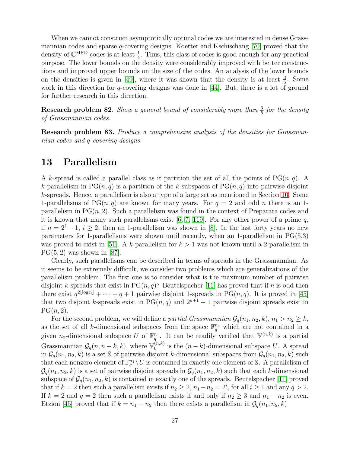When we cannot construct asymptotically optimal codes we are interested in dense Grassmannian codes and sparse q-covering designs. Koetter and Kschischang [\[70\]](#page-33-0) proved that the density of  $\mathbb{C}^{MRD}$  codes is at least  $\frac{1}{4}$ . Thus, this class of codes is good enough for any practical purpose. The lower bounds on the density were considerably improved with better constructions and improved upper bounds on the size of the codes. An analysis of the lower bounds on the densities is given in [\[49\]](#page-32-6), where it was shown that the density is at least  $\frac{3}{5}$ . Some work in this direction for q-covering designs was done in  $[44]$ . But, there is a lot of ground for further research in this direction.

**Research problem 82.** Show a general bound of considerably more than  $\frac{3}{5}$  for the density of Grassmannian codes.

Research problem 83. Produce a comprehensive analysis of the densities for Grassmannian codes and q-covering designs.

## <span id="page-26-0"></span>13 Parallelism

A k-spread is called a parallel class as it partition the set of all the points of  $PG(n, q)$ . A k-parallelism in  $PG(n, q)$  is a partition of the k-subspaces of  $PG(n, q)$  into pairwise disjoint k-spreads. Hence, a parallelism is also a type of a large set as mentioned in Section [10.](#page-20-0) Some 1-parallelisms of PG $(n, q)$  are known for many years. For  $q = 2$  and odd n there is an 1parallelism in  $PG(n, 2)$ . Such a parallelism was found in the context of Preparata codes and it is known that many such parallelisms exist [\[6,](#page-29-5) [7,](#page-30-12) [119\]](#page-36-9). For any other power of a prime  $q$ , if  $n = 2^{i} - 1$ ,  $i \ge 2$ , then an 1-parallelism was shown in [\[8\]](#page-30-13). In the last forty years no new parameters for 1-parallelisms were shown until recently, when an 1-parallelism in  $PG(5,3)$ was proved to exist in [\[51\]](#page-32-14). A k-parallelism for  $k > 1$  was not known until a 2-parallelism in  $PG(5, 2)$  was shown in [\[87\]](#page-34-14).

Clearly, such parallelisms can be described in terms of spreads in the Grassmannian. As it seems to be extremely difficult, we consider two problems which are generalizations of the parallelism problem. The first one is to consider what is the maximum number of pairwise disjoint k-spreads that exist in  $PG(n, q)$ ? Beutelspacher [\[11\]](#page-30-14) has proved that if n is odd then there exist  $q^{2\lfloor \log n \rfloor} + \cdots + q + 1$  pairwise disjoint 1-spreads in PG $(n, q)$ . It is proved in [\[45\]](#page-32-13) that two disjoint k-spreads exist in PG $(n, q)$  and  $2^{k+1} - 1$  pairwise disjoint spreads exist in  $PG(n, 2)$ .

For the second problem, we will define a *partial Grassmannian*  $\mathcal{G}_q(n_1, n_2, k), n_1 > n_2 \geq k$ , as the set of all k-dimensional subspaces from the space  $\mathbb{F}_q^{n_1}$  which are not contained in a given n<sub>2</sub>-dimensional subspace U of  $\mathbb{F}_q^{n_1}$ . It can be readily verified that  $\mathbb{V}^{(n,k)}$  is a partial Grassmannian  $\mathcal{G}_q(n, n-k, k)$ , where  $\mathbb{V}_0^{(n,k)}$  $\binom{n,k}{0}$  is the  $(n-k)$ -dimensional subspace U. A spread in  $\mathcal{G}_q(n_1, n_2, k)$  is a set S of pairwise disjoint k-dimensional subspaces from  $\mathcal{G}_q(n_1, n_2, k)$  such that each nonzero element of  $\mathbb{F}_q^{n_1} \setminus U$  is contained in exactly one element of S. A parallelism of  $\mathcal{G}_q(n_1, n_2, k)$  is a set of pairwise disjoint spreads in  $\mathcal{G}_q(n_1, n_2, k)$  such that each k-dimensional subspace of  $\mathcal{G}_q(n_1, n_2, k)$  is contained in exactly one of the spreads. Beutelspacher [\[11\]](#page-30-14) proved that if  $k = 2$  then such a parallelism exists if  $n_2 \ge 2$ ,  $n_1 - n_2 = 2^i$ , for all  $i \ge 1$  and any  $q > 2$ . If  $k = 2$  and  $q = 2$  then such a parallelism exists if and only if  $n_2 \geq 3$  and  $n_1 - n_2$  is even. Etzion [\[45\]](#page-32-13) proved that if  $k = n_1 - n_2$  then there exists a parallelism in  $\mathcal{G}_q(n_1, n_2, k)$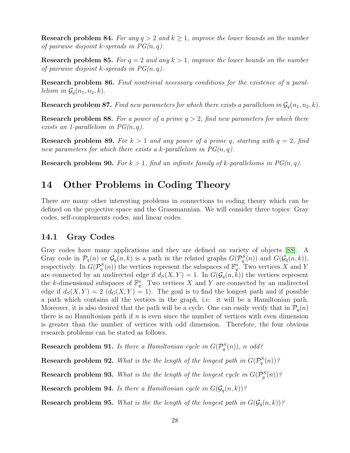**Research problem 84.** For any  $q > 2$  and  $k \ge 1$ , improve the lower bounds on the number of pairwise disjoint k-spreads in  $PG(n, q)$ .

**Research problem 85.** For  $q = 2$  and any  $k > 1$ , improve the lower bounds on the number of pairwise disjoint k-spreads in  $PG(n, q)$ .

Research problem 86. Find nontrivial necessary conditions for the existence of a parallelism in  $\mathcal{G}_q(n_1, n_2, k)$ .

**Research problem 87.** Find new parameters for which there exists a parallelism in  $\mathcal{G}_q(n_1, n_2, k)$ .

**Research problem 88.** For a power of a prime  $q > 2$ , find new parameters for which there exists an 1-parallelism in  $PG(n, q)$ .

**Research problem 89.** For  $k > 1$  and any power of a prime q, starting with  $q = 2$ , find new parameters for which there exists a k-parallelism in  $PG(n, q)$ .

<span id="page-27-0"></span>**Research problem 90.** For  $k > 1$ , find an infinite family of k-parallelisms in  $PG(n, q)$ .

## 14 Other Problems in Coding Theory

There are many other interesting problems in connections to coding theory which can be defined on the projective space and the Grassmannian. We will consider three topics: Gray codes, self-complements codes, and linear codes.

### 14.1 Gray Codes

Gray codes have many applications and they are defined on variety of objects [\[88\]](#page-34-15). A Gray code in  $\mathcal{P}_q(n)$  or  $\mathcal{G}_q(n,k)$  is a path in the related graphs  $G(\mathcal{P}_q^S(n))$  and  $G(\mathcal{G}_q(n,k)),$ respectively. In  $G(\mathcal{P}_q^S(n))$  the vertices represent the subspaces of  $\mathbb{F}_q^n$ . Two vertices X and Y are connected by an undirected edge if  $d_S(X, Y) = 1$ . In  $G(\mathcal{G}_q(n, k))$  the vertices represent the k-dimensional subspaces of  $\mathbb{F}_q^n$ . Two vertices X and Y are connected by an undirected edge if  $d_S(X, Y) = 2$   $(d_G(X, Y) = 1)$ . The goal is to find the longest path and if possible a path which contains all the vertices in the graph, i.e. it will be a Hamiltonian path. Moreover, it is also desired that the path will be a cycle. One can easily verify that in  $\mathcal{P}_q(n)$ there is no Hamiltonian path if  $n$  is even since the number of vertices with even dimension is greater than the number of vertices with odd dimension. Therefore, the four obvious research problems can be stated as follows.

**Research problem 91.** Is there a Hamiltonian cycle in  $G(\mathcal{P}_q^S(n))$ , n odd?

**Research problem 92.** What is the the length of the longest path in  $G(\mathcal{P}_q^S(n))$ ?

**Research problem 93.** What is the the length of the longest cycle in  $G(\mathcal{P}_q^S(n))$ ?

**Research problem 94.** Is there a Hamiltonian cycle in  $G(\mathcal{G}_q(n, k))$ ?

**Research problem 95.** What is the the length of the longest path in  $G(\mathcal{G}_q(n, k))$ ?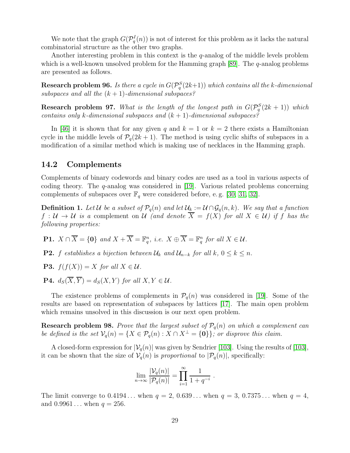We note that the graph  $G(\mathcal{P}_q^I(n))$  is not of interest for this problem as it lacks the natural combinatorial structure as the other two graphs.

Another interesting problem in this context is the q-analog of the middle levels problem which is a well-known unsolved problem for the Hamming graph  $[89]$ . The  $q$ -analog problems are presented as follows.

**Research problem 96.** Is there a cycle in  $G(\mathcal{P}_q^S(2k+1))$  which contains all the k-dimensional subspaces and all the  $(k + 1)$ -dimensional subspaces?

**Research problem 97.** What is the length of the longest path in  $G(\mathcal{P}_q^S(2k+1))$  which contains only k-dimensional subspaces and  $(k + 1)$ -dimensional subspaces?

In [\[46\]](#page-32-15) it is shown that for any given q and  $k = 1$  or  $k = 2$  there exists a Hamiltonian cycle in the middle levels of  $P_q(2k+1)$ . The method is using cyclic shifts of subspaces in a modification of a similar method which is making use of necklaces in the Hamming graph.

### 14.2 Complements

Complements of binary codewords and binary codes are used as a tool in various aspects of coding theory. The q-analog was considered in [\[19\]](#page-30-15). Various related problems concerning complements of subspaces over  $\mathbb{F}_q$  were considered before, e.g. [\[30,](#page-31-14) [31,](#page-31-15) [32\]](#page-31-16).

**Definition 1.** Let U be a subset of  $\mathcal{P}_q(n)$  and let  $\mathcal{U}_k := \mathcal{U} \cap \mathcal{G}_q(n,k)$ . We say that a function  $f: U \to U$  is a complement on U (and denote  $\overline{X} = f(X)$  for all  $X \in U$ ) if f has the following properties:

- **P1.**  $X \cap \overline{X} = \{0\}$  and  $X + \overline{X} = \mathbb{F}_q^n$ , i.e.  $X \oplus \overline{X} = \mathbb{F}_q^n$  for all  $X \in \mathcal{U}$ .
- **P2.** f establishes a bijection between  $\mathcal{U}_k$  and  $\mathcal{U}_{n-k}$  for all  $k, 0 \leq k \leq n$ .
- **P3.**  $f(f(X)) = X$  for all  $X \in \mathcal{U}$ .
- **P4.**  $d_S(\overline{X}, \overline{Y}) = d_S(X, Y)$  for all  $X, Y \in \mathcal{U}$ .

The existence problems of complements in  $\mathcal{P}_q(n)$  was considered in [\[19\]](#page-30-15). Some of the results are based on representation of subspaces by lattices [\[17\]](#page-30-16). The main open problem which remains unsolved in this discussion is our next open problem.

**Research problem 98.** Prove that the largest subset of  $\mathcal{P}_q(n)$  on which a complement can be defined is the set  $\mathcal{V}_q(n) = \{X \in \mathcal{P}_q(n) : X \cap X^\perp = \{0\}\}\$ ; or disprove this claim.

A closed-form expression for  $|\mathcal{V}_q(n)|$  was given by Sendrier [\[103\]](#page-35-18). Using the results of [103], it can be shown that the size of  $V_q(n)$  is proportional to  $|\mathcal{P}_q(n)|$ , specifically:

$$
\lim_{n\to\infty}\frac{|\mathcal{V}_q(n)|}{|\mathcal{P}_q(n)|}=\prod_{i=1}^{\infty}\frac{1}{1+q^{-i}}.
$$

The limit converge to  $0.4194...$  when  $q = 2, 0.639...$  when  $q = 3, 0.7375...$  when  $q = 4,$ and  $0.9961...$  when  $q = 256.$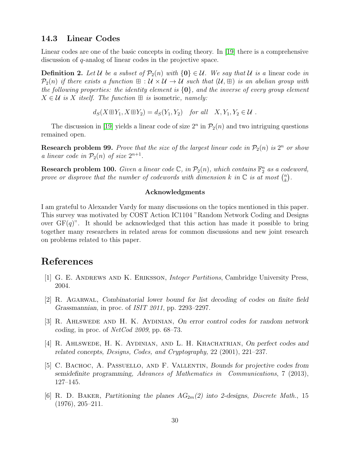### 14.3 Linear Codes

Linear codes are one of the basic concepts in coding theory. In [\[19\]](#page-30-15) there is a comprehensive discussion of q-analog of linear codes in the projective space.

**Definition 2.** Let U be a subset of  $\mathcal{P}_2(n)$  with  $\{0\} \in \mathcal{U}$ . We say that U is a linear code in  $\mathcal{P}_2(n)$  if there exists a function  $\mathbb{H} : \mathcal{U} \times \mathcal{U} \to \mathcal{U}$  such that  $(\mathcal{U}, \mathbb{H})$  is an abelian group with the following properties: the identity element is  $\{0\}$ , and the inverse of every group element  $X \in \mathcal{U}$  is X itself. The function  $\boxplus$  is isometric, namely:

 $d_S(X \boxplus Y_1, X \boxplus Y_2) = d_S(Y_1, Y_2)$  for all  $X, Y_1, Y_2 \in \mathcal{U}$ .

The discussion in [\[19\]](#page-30-15) yields a linear code of size  $2^n$  in  $\mathcal{P}_2(n)$  and two intriguing questions remained open.

**Research problem 99.** Prove that the size of the largest linear code in  $\mathcal{P}_2(n)$  is  $2^n$  or show a linear code in  $\mathcal{P}_2(n)$  of size  $2^{n+1}$ .

**Research problem 100.** Given a linear code  $\mathbb{C}$ , in  $\mathcal{P}_2(n)$ , which contains  $\mathbb{F}_2^n$  as a codeword, prove or disprove that the number of codewords with dimension k in  $\mathbb C$  is at most  $\binom{n}{k}$  $\binom{n}{k}$ .

### Acknowledgments

I am grateful to Alexander Vardy for many discussions on the topics mentioned in this paper. This survey was motivated by COST Action IC1104 "Random Network Coding and Designs over  $GF(q)$ ". It should be acknowledged that this action has made it possible to bring together many researchers in related areas for common discussions and new joint research on problems related to this paper.

## <span id="page-29-0"></span>References

- <span id="page-29-4"></span>[1] G. E. Andrews and K. Eriksson, Integer Partitions, Cambridge University Press, 2004.
- <span id="page-29-3"></span>[2] R. Agarwal, Combinatorial lower bound for list decoding of codes on finite field Grassmannian, in proc. of ISIT 2011, pp. 2293–2297.
- <span id="page-29-2"></span>[3] R. Ahlswede and H. K. Aydinian, On error control codes for random network coding, in proc. of  $NetCod 2009$ , pp. 68–73.
- [4] R. Ahlswede, H. K. Aydinian, and L. H. Khachatrian, On perfect codes and related concepts, Designs, Codes, and Cryptography, 22 (2001), 221–237.
- <span id="page-29-1"></span>[5] C. Bachoc, A. Passuello, and F. Vallentin, Bounds for projective codes from semidefinite programming, Advances of Mathematics in Communications, 7 (2013), 127–145.
- <span id="page-29-5"></span>[6] R. D. BAKER, Partitioning the planes  $AG_{2m}(2)$  into 2-designs, Discrete Math., 15 (1976), 205–211.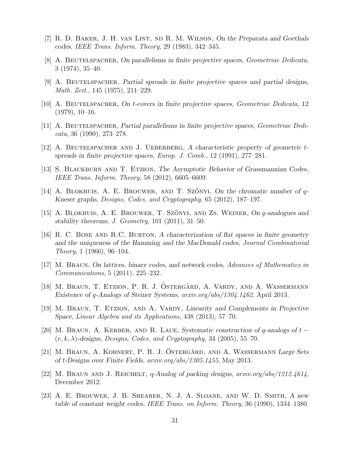- <span id="page-30-13"></span><span id="page-30-12"></span>[7] R. D. Baker, J. H. van Lint, nd R. M. Wilson, On the Preparata and Goethals codes, IEEE Trans. Inform. Theory, 29 (1983), 342–345.
- <span id="page-30-5"></span>[8] A. BEUTELSPACHER, On parallelisms in finite projective spaces, Geometriae Dedicata, 3 (1974), 35–40.
- <span id="page-30-9"></span>[9] A. Beutelspacher, Partial spreads in finite projective spaces and partial designs, Math. Zeit., 145 (1975), 211–229.
- <span id="page-30-14"></span>[10] A. BEUTELSPACHER, On t-covers in finite projective spaces, Geometriae Dedicata, 12  $(1979), 10-16.$
- <span id="page-30-10"></span>[11] A. BEUTELSPACHER, Partial parallelisms in finite projective spaces, Geometriae Dedi- $\textit{cata}, 36 \text{ (1990)}, 273-278.$
- <span id="page-30-11"></span>[12] A. BEUTELSPACHER AND J. UEBERBERG, A characteristic property of geometric tspreads in finite projective spaces, Europ. J. Comb., 12 (1991), 277–281.
- <span id="page-30-1"></span>[13] S. BLACKBURN AND T. ETZION, The Asymptotic Behavior of Grassmannian Codes, IEEE Trans. Inform. Theory, 58 (2012), 6605–6609.
- <span id="page-30-2"></span>[14] A. BLOKHUIS, A. E. BROUWER, AND T. SZŐNYI, On the chromatic number of  $q$ -Kneser graphs, Designs, Codes, and Cryptography, 65 (2012), 187–197.
- [15] A. BLOKHUIS, A. E. BROUWER, T. SZŐNYI, AND ZS. WEINER, On q-analogues and stability theorems, J. Geometry, 101 (2011), 31–50.
- <span id="page-30-8"></span>[16] R. C. Bose and R.C. Burton, A characterization of flat spaces in finite geometry and the uniqueness of the Hamming and the MacDonald codes, Journal Combinatorial *Theory*, 1 (1966), 96–104.
- <span id="page-30-16"></span>[17] M. Braun, On lattices, binary codes, and network codes, Advances of Mathematics in Communications, 5 (2011), 225–232.
- <span id="page-30-3"></span>[18] M. Braun, T. Etzion, P. R. J. Ostergård, A. Vardy, and A. Wassermann Existence of q-Analogs of Steiner Systems, arxiv.org/abs/1304.1462, April 2013.
- <span id="page-30-15"></span>[19] M. Braun, T. Etzion, and A. Vardy, Linearity and Complements in Projective Space, Linear Algebra and its Applications, 438 (2013), 57–70.
- <span id="page-30-6"></span>[20] M. BRAUN, A. KERBER, AND R. LAUE, Systematic construction of q-analogs of  $t$  −  $(v, k, \lambda)$ -designs, Designs, Codes, and Cryptography, 34 (2005), 55–70.
- <span id="page-30-7"></span>[21] M. BRAUN, A. KOHNERT, P. R. J. OSTERGÅRD, AND A. WASSERMANN Large Sets of t-Designs over Finite Fields, arxiv.org/abs/1305.1455, May 2013.
- <span id="page-30-4"></span><span id="page-30-0"></span>[22] M. Braun and J. Reichelt, q-Analog of packing designs, arxiv.org/abs/1212.4614, December 2012.
- [23] A. E. Brouwer, J. B. Shearer, N. J. A. Sloane, and W. D. Smith, A new table of constant weight codes, IEEE Trans. on Inform. Theory, 36 (1990), 1334–1380.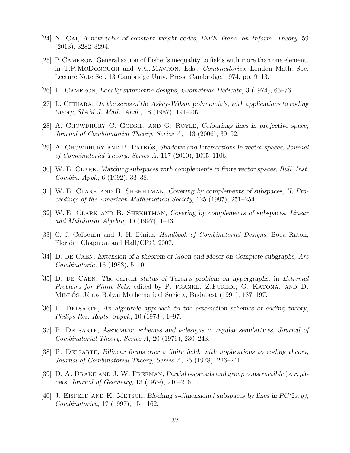- <span id="page-31-7"></span><span id="page-31-4"></span>[24] N. Cai, A new table of constant weight codes, IEEE Trans. on Inform. Theory, 59  $(2013), 3282 - 3294.$
- [25] P. Cameron, Generalisation of Fisher's inequality to fields with more than one element, in T.P. McDonough and V.C. MAVRON, Eds., *Combinatorics*, London Math. Soc. Lecture Note Ser. 13 Cambridge Univ. Press, Cambridge, 1974, pp. 9–13.
- <span id="page-31-8"></span><span id="page-31-0"></span>[26] P. Cameron, Locally symmetric designs, Geometriae Dedicata, 3 (1974), 65–76.
- <span id="page-31-1"></span>[27] L. CHIHARA, On the zeros of the Askey-Wilson polynomials, with applications to coding theory, SIAM J. Math. Anal., 18 (1987), 191–207.
- <span id="page-31-2"></span>[28] A. CHOWDHURY C. GODSIL, AND G. ROYLE, Colourings lines in projective space, Journal of Combinatorial Theory, Series A, 113 (2006), 39–52.
- <span id="page-31-14"></span>[29] A. CHOWDHURY AND B. PATKOS, Shadows and intersections in vector spaces, Journal of Combinatorial Theory, Series A, 117 (2010), 1095–1106.
- <span id="page-31-15"></span>[30] W. E. Clark, Matching subspaces with complements in finite vector spaces, Bull. Inst. Combin. Appl., 6 (1992), 33–38.
- <span id="page-31-16"></span>[31] W. E. Clark and B. Shekhtman, Covering by complements of subspaces, II, Proceedings of the American Mathematical Society, 125 (1997), 251–254.
- [32] W. E. Clark and B. Shekhtman, Covering by complements of subspaces, Linear and Multilinear Algebra, 40 (1997), 1–13.
- <span id="page-31-11"></span><span id="page-31-6"></span>[33] C. J. Colbourn and J. H. Dinitz, *Handbook of Combinatorial Designs*, Boca Raton, Florida: Chapman and Hall/CRC, 2007.
- <span id="page-31-12"></span>[34] D. DE CAEN, Extension of a theorem of Moon and Moser on Complete subgraphs, Ars Combinatoria, 16 (1983), 5–10.
- [35] D. DE CAEN, The current status of Turán's problem on hypergraphs, in Extremal Problems for Finite Sets, edited by P. FRANKL. Z.FÜREDI, G. KATONA, AND D. MIKLÓS, János Bolyai Mathematical Society, Budapest (1991), 187–197.
- <span id="page-31-9"></span><span id="page-31-5"></span>[36] P. Delsarte, An algebraic approach to the association schemes of coding theory, Philips Res. Repts. Suppl., 10 (1973), 1–97.
- [37] P. Delsarte, Association schemes and t-designs in regular semilattices, Journal of Combinatorial Theory, Series A, 20 (1976), 230–243.
- <span id="page-31-3"></span>[38] P. Delsarte, Bilinear forms over a finite field, with applications to coding theory, Journal of Combinatorial Theory, Series A, 25 (1978), 226–241.
- <span id="page-31-10"></span>[39] D. A. DRAKE AND J. W. FREEMAN, Partial t-spreads and group constructible  $(s, r, \mu)$ nets, Journal of Geometry, 13 (1979), 210–216.
- <span id="page-31-13"></span>[40] J. EISFELD AND K. METSCH, Blocking s-dimensional subspaces by lines in  $PG(2s, q)$ , Combinatorica, 17 (1997), 151–162.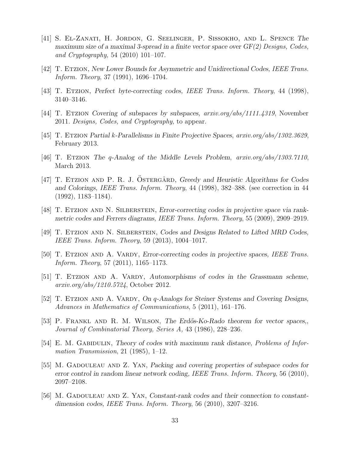- <span id="page-32-7"></span>[41] S. El-Zanati, H. Jordon, G. Seelinger, P. Sissokho, and L. Spence The maximum size of a maximal 3-spread in a finite vector space over  $GF(2)$  Designs, Codes, and Cryptography, 54 (2010) 101–107.
- <span id="page-32-10"></span><span id="page-32-1"></span>[42] T. Etzion, New Lower Bounds for Asymmetric and Unidirectional Codes, IEEE Trans. Inform. Theory, 37 (1991), 1696–1704.
- <span id="page-32-12"></span>[43] T. Etzion, Perfect byte-correcting codes, IEEE Trans. Inform. Theory, 44 (1998), 3140–3146.
- <span id="page-32-13"></span>[44] T. ETZION Covering of subspaces by subspaces,  $arxiv.org/abs/1111.4319$ , November 2011. Designs, Codes, and Cryptography, to appear.
- <span id="page-32-15"></span>[45] T. Etzion Partial k-Parallelisms in Finite Projective Spaces, arxiv.org/abs/1302.3629, February 2013.
- <span id="page-32-2"></span>[46] T. Etzion The q-Analog of the Middle Levels Problem, arxiv.org/abs/1303.7110, March 2013.
- [47] T. ETZION AND P. R. J. OSTERGÅRD, Greedy and Heuristic Algorithms for Codes and Colorings, IEEE Trans. Inform. Theory, 44 (1998), 382–388. (see correction in 44 (1992), 1183–1184).
- <span id="page-32-6"></span><span id="page-32-5"></span>[48] T. Etzion and N. Silberstein, Error-correcting codes in projective space via rankmetric codes and Ferrers diagrams, IEEE Trans. Inform. Theory, 55 (2009), 2909–2919.
- <span id="page-32-3"></span>[49] T. ETZION AND N. SILBERSTEIN, Codes and Designs Related to Lifted MRD Codes, IEEE Trans. Inform. Theory, 59 (2013), 1004–1017.
- <span id="page-32-14"></span>[50] T. ETZION AND A. VARDY, Error-correcting codes in projective spaces, IEEE Trans. Inform. Theory, 57 (2011), 1165–1173.
- [51] T. ETZION AND A. VARDY, Automorphisms of codes in the Grassmann scheme, arxiv.org/abs/1210.5724, October 2012.
- <span id="page-32-9"></span>[52] T. ETZION AND A. VARDY, On q-Analogs for Steiner Systems and Covering Designs, Advances in Mathematics of Communications, 5 (2011), 161–176.
- <span id="page-32-0"></span>[53] P. FRANKL AND R. M. WILSON, The Erdős-Ko-Rado theorem for vector spaces, Journal of Combinatorial Theory, Series A, 43 (1986), 228–236.
- <span id="page-32-4"></span>[54] E. M. GABIDULIN, Theory of codes with maximum rank distance, Problems of Information Transmission, 21 (1985), 1–12.
- <span id="page-32-8"></span>[55] M. GADOULEAU AND Z. YAN, Packing and covering properties of subspace codes for error control in random linear network coding, IEEE Trans. Inform. Theory, 56 (2010), 2097–2108.
- <span id="page-32-11"></span>[56] M. GADOULEAU AND Z. YAN, Constant-rank codes and their connection to constantdimension codes, IEEE Trans. Inform. Theory, 56 (2010), 3207–3216.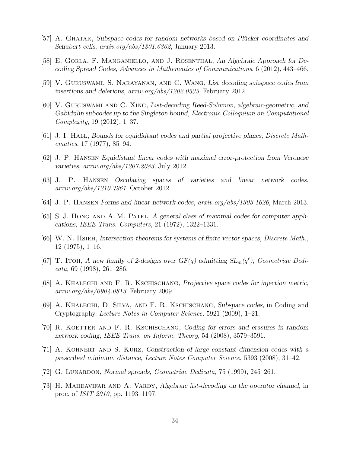- <span id="page-33-10"></span><span id="page-33-3"></span>[57] A. GHATAK, Subspace codes for random networks based on Plücker coordinates and Schubert cells, arxiv.org/abs/1301.6362, January 2013.
- <span id="page-33-11"></span>[58] E. Gorla, F. Manganiello, and J. Rosenthal, An Algebraic Approach for Decoding Spread Codes, Advances in Mathematics of Communications, 6 (2012), 443–466.
- <span id="page-33-12"></span>[59] V. Guruswami, S. Narayanan, and C. Wang, List decoding subspace codes from insertions and deletions, arxiv.org/abs/1202.0535, February 2012.
- [60] V. Guruswami and C. Xing, List-decoding Reed-Solomon, algebraic-geometric, and Gabidulin subcodes up to the Singleton bound, Electronic Colloquium on Computational Complexity, 19 (2012), 1–37.
- <span id="page-33-5"></span><span id="page-33-4"></span>[61] J. I. Hall, Bounds for equididtant codes and partial projective planes, Discrete Mathematics, 17 (1977), 85–94.
- <span id="page-33-6"></span>[62] J. P. Hansen Equidistant linear codes with maximal error-protection from Veronese varieties, arxiv.org/abs/1207.2083, July 2012.
- <span id="page-33-7"></span>[63] J. P. Hansen Osculating spaces of varieties and linear network codes, arxiv.org/abs/1210.7961, October 2012.
- <span id="page-33-9"></span>[64] J. P. Hansen Forms and linear network codes, arxiv.org/abs/1303.1626, March 2013.
- <span id="page-33-1"></span>[65] S.J. HONG AND A.M. PATEL, A general class of maximal codes for computer applications, IEEE Trans. Computers, 21 (1972), 1322–1331.
- [66] W. N. Hsieh, Intersection theorems for systems of finite vector spaces, Discrete Math., 12 (1975), 1–16.
- <span id="page-33-15"></span>[67] T. ITOH, A new family of 2-designs over  $GF(q)$  admitting  $SL_m(q^{\ell})$ , Geometriae Dedicata, 69 (1998), 261–286.
- <span id="page-33-8"></span>[68] A. Khaleghi and F. R. Kschischang, Projective space codes for injection metric, arxiv.org/abs/0904.0813, February 2009.
- <span id="page-33-14"></span>[69] A. Khaleghi, D. Silva, and F. R. Kschischang, Subspace codes, in Coding and Cryptography, Lecture Notes in Computer Science, 5921 (2009), 1–21.
- <span id="page-33-0"></span>[70] R. KOETTER AND F. R. KSCHISCHANG, Coding for errors and erasures in random network coding, IEEE Trans. on Inform. Theory, 54 (2008), 3579–3591.
- <span id="page-33-2"></span>[71] A. Kohnert and S. Kurz, Construction of large constant dimension codes with a prescribed minimum distance, Lecture Notes Computer Science, 5393 (2008), 31–42.
- <span id="page-33-16"></span><span id="page-33-13"></span>[72] G. Lunardon, Normal spreads, Geometriae Dedicata, 75 (1999), 245–261.
- [73] H. MAHDAVIFAR AND A. VARDY, Algebraic list-decoding on the operator channel, in proc. of ISIT 2010, pp. 1193–1197.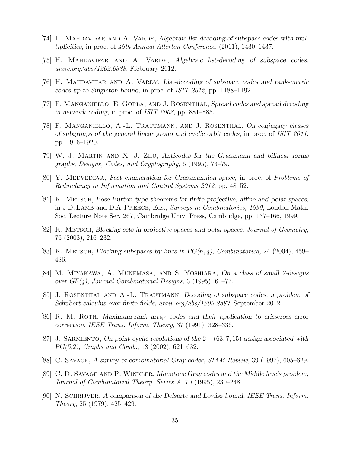- <span id="page-34-7"></span><span id="page-34-6"></span>[74] H. MAHDAVIFAR AND A. VARDY, Algebraic list-decoding of subspace codes with multiplicities, in proc. of 49th Annual Allerton Conference, (2011), 1430–1437.
- <span id="page-34-8"></span>[75] H. MAHDAVIFAR AND A. VARDY, Algebraic list-decoding of subspace codes, arxiv.org/abs/1202.0338, Ffebruary 2012.
- <span id="page-34-5"></span>[76] H. Mahdavifar and A. Vardy, List-decoding of subspace codes and rank-metric codes up to Singleton bound, in proc. of ISIT 2012, pp. 1188–1192.
- <span id="page-34-2"></span>[77] F. Manganiello, E. Gorla, and J. Rosenthal, Spread codes and spread decoding in network coding, in proc. of ISIT 2008, pp. 881–885.
- [78] F. Manganiello, A.-L. Trautmann, and J. Rosenthal, On conjugacy classes of subgroups of the general linear group and cyclic orbit codes, in proc. of ISIT 2011, pp. 1916–1920.
- <span id="page-34-10"></span><span id="page-34-0"></span>[79] W. J. Martin and X. J. Zhu, Anticodes for the Grassmann and bilinear forms graphs, Designs, Codes, and Cryptography, 6 (1995), 73–79.
- <span id="page-34-4"></span>[80] Y. MEDVEDEVA, Fast enumeration for Grassmannian space, in proc. of Problems of Redundancy in Information and Control Systems 2012, pp. 48–52.
- [81] K. METSCH, Bose-Burton type theorems for finite projective, affine and polar spaces, in J.D. LAMB and D.A. PREECE, Eds., Surveys in Combinatorics, 1999, London Math. Soc. Lecture Note Ser. 267, Cambridge Univ. Press, Cambridge, pp. 137–166, 1999.
- <span id="page-34-13"></span><span id="page-34-12"></span>[82] K. METSCH, Blocking sets in projective spaces and polar spaces, Journal of Geometry, 76 (2003), 216–232.
- <span id="page-34-11"></span>[83] K. METSCH, Blocking subspaces by lines in  $PG(n, q)$ , Combinatorica, 24 (2004), 459– 486.
- <span id="page-34-9"></span>[84] M. Miyakawa, A. Munemasa, and S. Yoshiara, On a class of small 2-designs over  $GF(q)$ , Journal Combinatorial Designs, 3 (1995), 61–77.
- [85] J. Rosenthal and A.-L. Trautmann, Decoding of subspace codes, a problem of Schubert calculus over finite fields, arxiv.org/abs/1209.2887, September 2012.
- <span id="page-34-1"></span>[86] R. M. Roth, Maximum-rank array codes and their application to crisscross error correction, IEEE Trans. Inform. Theory, 37 (1991), 328–336.
- <span id="page-34-14"></span>[87] J. SARMIENTO, On point-cyclic resolutions of the  $2 - (63, 7, 15)$  design associated with PG(5,2), Graphs and Comb., 18 (2002), 621–632.
- <span id="page-34-16"></span><span id="page-34-15"></span>[88] C. Savage, A survey of combinatorial Gray codes, SIAM Review, 39 (1997), 605–629.
- [89] C. D. Savage and P. Winkler, Monotone Gray codes and the Middle levels problem, Journal of Combinatorial Theory, Series A, 70 (1995), 230–248.
- <span id="page-34-3"></span>[90] N. SCHRIJVER, A comparison of the Delsarte and Lovász bound, IEEE Trans. Inform. Theory, 25 (1979), 425–429.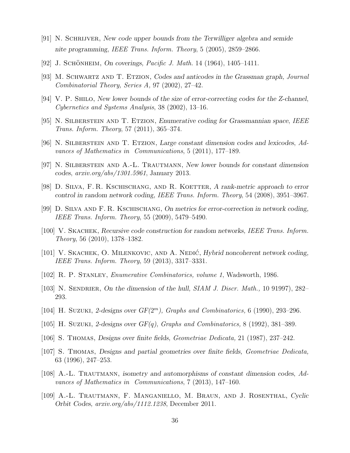- <span id="page-35-9"></span>[91] N. Schrijver, New code upper bounds from the Terwilliger algebra and semide nite programming, IEEE Trans. Inform. Theory, 5 (2005), 2859–2866.
- <span id="page-35-17"></span><span id="page-35-11"></span>[92] J. SCHÖNHEIM, On coverings, *Pacific J. Math.* 14 (1964), 1405–1411.
- <span id="page-35-0"></span>[93] M. SCHWARTZ AND T. ETZION, Codes and anticodes in the Grassman graph, Journal Combinatorial Theory, Series A, 97 (2002), 27–42.
- <span id="page-35-13"></span>[94] V. P. SHILO, New lower bounds of the size of error-correcting codes for the Z-channel, Cybernetics and Systems Analysis, 38 (2002), 13–16.
- <span id="page-35-5"></span>[95] N. Silberstein and T. Etzion, Enumerative coding for Grassmannian space, IEEE Trans. Inform. Theory, 57 (2011), 365–374.
- <span id="page-35-8"></span>[96] N. Silberstein and T. Etzion, Large constant dimension codes and lexicodes, Advances of Mathematics in Communications, 5 (2011), 177–189.
- <span id="page-35-1"></span>[97] N. Silberstein and A.-L. Trautmann, New lower bounds for constant dimension codes, arxiv.org/abs/1301.5961, January 2013.
- <span id="page-35-10"></span>[98] D. SILVA, F. R. KSCHISCHANG, AND R. KOETTER, A rank-metric approach to error control in random network coding, IEEE Trans. Inform. Theory, 54 (2008), 3951–3967.
- <span id="page-35-2"></span>[99] D. Silva and F. R. Kschischang, On metrics for error-correction in network coding, IEEE Trans. Inform. Theory, 55 (2009), 5479–5490.
- <span id="page-35-6"></span>[100] V. Skachek, Recursive code construction for random networks, IEEE Trans. Inform. Theory, 56 (2010), 1378–1382.
- <span id="page-35-7"></span>[101] V. SKACHEK, O. MILENKOVIC, AND A. NEDIĆ, *Hybrid noncoherent network coding*, IEEE Trans. Inform. Theory, 59 (2013), 3317–3331.
- <span id="page-35-18"></span>[102] R. P. Stanley, Enumerative Combinatorics, volume 1, Wadsworth, 1986.
- <span id="page-35-15"></span>[103] N. SENDRIER, On the dimension of the hull, SIAM J. Discr. Math., 10 91997), 282-293.
- <span id="page-35-16"></span>[104] H. SUZUKI, 2-designs over  $GF(2<sup>m</sup>)$ , Graphs and Combinatorics, 6 (1990), 293-296.
- <span id="page-35-14"></span>[105] H. SUZUKI, 2-designs over  $GF(q)$ , Graphs and Combinatorics, 8 (1992), 381–389.
- <span id="page-35-12"></span>[106] S. Thomas, Designs over finite fields, Geometriae Dedicata, 21 (1987), 237–242.
- [107] S. Thomas, Designs and partial geometries over finite fields, Geometriae Dedicata, 63 (1996), 247–253.
- <span id="page-35-3"></span>[108] A.-L. Trautmann, isometry and automorphisms of constant dimension codes, Advances of Mathematics in Communications, 7 (2013), 147–160.
- <span id="page-35-4"></span>[109] A.-L. Trautmann, F. Manganiello, M. Braun, and J. Rosenthal, Cyclic Orbit Codes, arxiv.org/abs/1112.1238, December 2011.